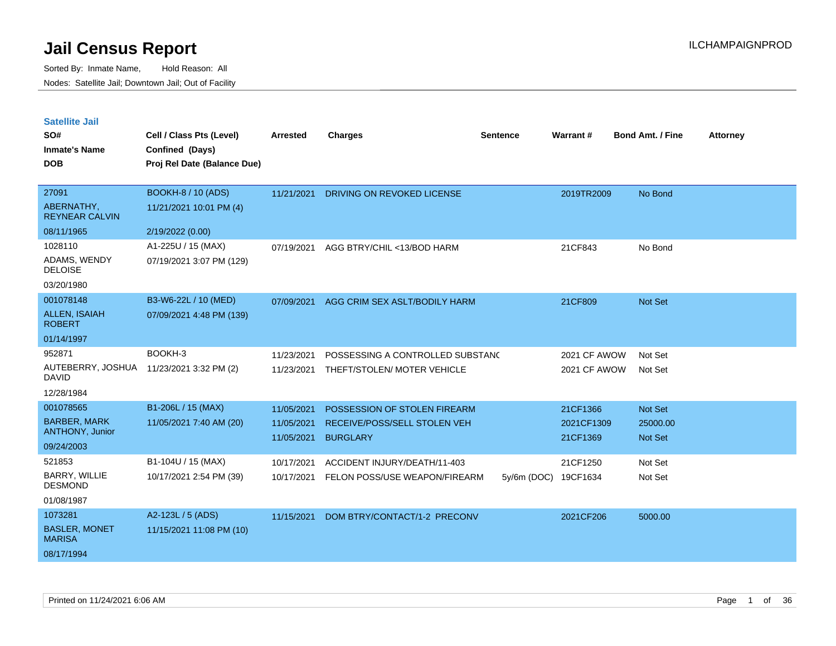| <b>Satellite Jail</b> |  |
|-----------------------|--|
|                       |  |

| SO#<br><b>Inmate's Name</b><br><b>DOB</b> | Cell / Class Pts (Level)<br>Confined (Days)<br>Proj Rel Date (Balance Due) | <b>Arrested</b> | <b>Charges</b>                   | <b>Sentence</b> | Warrant#     | <b>Bond Amt. / Fine</b> | <b>Attorney</b> |
|-------------------------------------------|----------------------------------------------------------------------------|-----------------|----------------------------------|-----------------|--------------|-------------------------|-----------------|
| 27091                                     | <b>BOOKH-8 / 10 (ADS)</b>                                                  | 11/21/2021      | DRIVING ON REVOKED LICENSE       |                 | 2019TR2009   | No Bond                 |                 |
| ABERNATHY,<br><b>REYNEAR CALVIN</b>       | 11/21/2021 10:01 PM (4)                                                    |                 |                                  |                 |              |                         |                 |
| 08/11/1965                                | 2/19/2022 (0.00)                                                           |                 |                                  |                 |              |                         |                 |
| 1028110                                   | A1-225U / 15 (MAX)                                                         | 07/19/2021      | AGG BTRY/CHIL <13/BOD HARM       |                 | 21CF843      | No Bond                 |                 |
| ADAMS, WENDY<br><b>DELOISE</b>            | 07/19/2021 3:07 PM (129)                                                   |                 |                                  |                 |              |                         |                 |
| 03/20/1980                                |                                                                            |                 |                                  |                 |              |                         |                 |
| 001078148                                 | B3-W6-22L / 10 (MED)                                                       | 07/09/2021      | AGG CRIM SEX ASLT/BODILY HARM    |                 | 21CF809      | Not Set                 |                 |
| <b>ALLEN, ISAIAH</b><br><b>ROBERT</b>     | 07/09/2021 4:48 PM (139)                                                   |                 |                                  |                 |              |                         |                 |
| 01/14/1997                                |                                                                            |                 |                                  |                 |              |                         |                 |
| 952871                                    | BOOKH-3                                                                    | 11/23/2021      | POSSESSING A CONTROLLED SUBSTANC |                 | 2021 CF AWOW | Not Set                 |                 |
| AUTEBERRY, JOSHUA<br><b>DAVID</b>         | 11/23/2021 3:32 PM (2)                                                     | 11/23/2021      | THEFT/STOLEN/ MOTER VEHICLE      |                 | 2021 CF AWOW | Not Set                 |                 |
| 12/28/1984                                |                                                                            |                 |                                  |                 |              |                         |                 |
| 001078565                                 | B1-206L / 15 (MAX)                                                         | 11/05/2021      | POSSESSION OF STOLEN FIREARM     |                 | 21CF1366     | Not Set                 |                 |
| <b>BARBER, MARK</b>                       | 11/05/2021 7:40 AM (20)                                                    | 11/05/2021      | RECEIVE/POSS/SELL STOLEN VEH     |                 | 2021CF1309   | 25000.00                |                 |
| <b>ANTHONY, Junior</b>                    |                                                                            | 11/05/2021      | <b>BURGLARY</b>                  |                 | 21CF1369     | Not Set                 |                 |
| 09/24/2003                                |                                                                            |                 |                                  |                 |              |                         |                 |
| 521853                                    | B1-104U / 15 (MAX)                                                         | 10/17/2021      | ACCIDENT INJURY/DEATH/11-403     |                 | 21CF1250     | Not Set                 |                 |
| BARRY, WILLIE<br><b>DESMOND</b>           | 10/17/2021 2:54 PM (39)                                                    | 10/17/2021      | FELON POSS/USE WEAPON/FIREARM    | $5y/6m$ (DOC)   | 19CF1634     | Not Set                 |                 |
| 01/08/1987                                |                                                                            |                 |                                  |                 |              |                         |                 |
| 1073281                                   | A2-123L / 5 (ADS)                                                          | 11/15/2021      | DOM BTRY/CONTACT/1-2 PRECONV     |                 | 2021CF206    | 5000.00                 |                 |
| <b>BASLER, MONET</b><br><b>MARISA</b>     | 11/15/2021 11:08 PM (10)                                                   |                 |                                  |                 |              |                         |                 |
| 08/17/1994                                |                                                                            |                 |                                  |                 |              |                         |                 |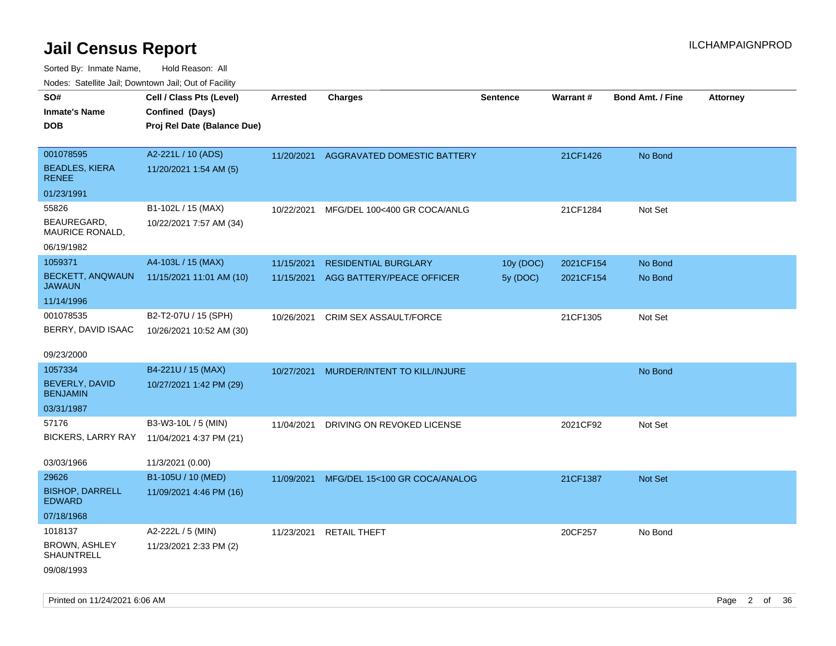| rouco. Calcillo Jali, Downtown Jali, Out of Facility |                                             |                 |                                        |                 |           |                         |                 |
|------------------------------------------------------|---------------------------------------------|-----------------|----------------------------------------|-----------------|-----------|-------------------------|-----------------|
| SO#<br>Inmate's Name                                 | Cell / Class Pts (Level)<br>Confined (Days) | <b>Arrested</b> | <b>Charges</b>                         | <b>Sentence</b> | Warrant#  | <b>Bond Amt. / Fine</b> | <b>Attorney</b> |
| DOB                                                  | Proj Rel Date (Balance Due)                 |                 |                                        |                 |           |                         |                 |
| 001078595                                            | A2-221L / 10 (ADS)                          |                 | 11/20/2021 AGGRAVATED DOMESTIC BATTERY |                 | 21CF1426  | No Bond                 |                 |
| <b>BEADLES, KIERA</b><br>RENEE                       | 11/20/2021 1:54 AM (5)                      |                 |                                        |                 |           |                         |                 |
| 01/23/1991                                           |                                             |                 |                                        |                 |           |                         |                 |
| 55826                                                | B1-102L / 15 (MAX)                          | 10/22/2021      | MFG/DEL 100<400 GR COCA/ANLG           |                 | 21CF1284  | Not Set                 |                 |
| BEAUREGARD,<br>MAURICE RONALD,                       | 10/22/2021 7:57 AM (34)                     |                 |                                        |                 |           |                         |                 |
| 06/19/1982                                           |                                             |                 |                                        |                 |           |                         |                 |
| 1059371                                              | A4-103L / 15 (MAX)                          | 11/15/2021      | <b>RESIDENTIAL BURGLARY</b>            | 10y (DOC)       | 2021CF154 | No Bond                 |                 |
| <b>BECKETT, ANQWAUN</b><br>JAWAUN                    | 11/15/2021 11:01 AM (10)                    | 11/15/2021      | AGG BATTERY/PEACE OFFICER              | 5y (DOC)        | 2021CF154 | No Bond                 |                 |
| 11/14/1996                                           |                                             |                 |                                        |                 |           |                         |                 |
| 001078535                                            | B2-T2-07U / 15 (SPH)                        | 10/26/2021      | <b>CRIM SEX ASSAULT/FORCE</b>          |                 | 21CF1305  | Not Set                 |                 |
| BERRY, DAVID ISAAC                                   | 10/26/2021 10:52 AM (30)                    |                 |                                        |                 |           |                         |                 |
| 09/23/2000                                           |                                             |                 |                                        |                 |           |                         |                 |
| 1057334                                              | B4-221U / 15 (MAX)                          | 10/27/2021      | MURDER/INTENT TO KILL/INJURE           |                 |           | No Bond                 |                 |
| BEVERLY, DAVID<br><b>BENJAMIN</b>                    | 10/27/2021 1:42 PM (29)                     |                 |                                        |                 |           |                         |                 |
| 03/31/1987                                           |                                             |                 |                                        |                 |           |                         |                 |
| 57176                                                | B3-W3-10L / 5 (MIN)                         | 11/04/2021      | DRIVING ON REVOKED LICENSE             |                 | 2021CF92  | Not Set                 |                 |
| BICKERS, LARRY RAY                                   | 11/04/2021 4:37 PM (21)                     |                 |                                        |                 |           |                         |                 |
| 03/03/1966                                           | 11/3/2021 (0.00)                            |                 |                                        |                 |           |                         |                 |
| 29626                                                | B1-105U / 10 (MED)                          | 11/09/2021      | MFG/DEL 15<100 GR COCA/ANALOG          |                 | 21CF1387  | <b>Not Set</b>          |                 |
| <b>BISHOP, DARRELL</b><br><b>EDWARD</b>              | 11/09/2021 4:46 PM (16)                     |                 |                                        |                 |           |                         |                 |
| 07/18/1968                                           |                                             |                 |                                        |                 |           |                         |                 |
| 1018137                                              | A2-222L / 5 (MIN)                           | 11/23/2021      | <b>RETAIL THEFT</b>                    |                 | 20CF257   | No Bond                 |                 |
| BROWN, ASHLEY<br>SHAUNTRELL                          | 11/23/2021 2:33 PM (2)                      |                 |                                        |                 |           |                         |                 |
| 09/08/1993                                           |                                             |                 |                                        |                 |           |                         |                 |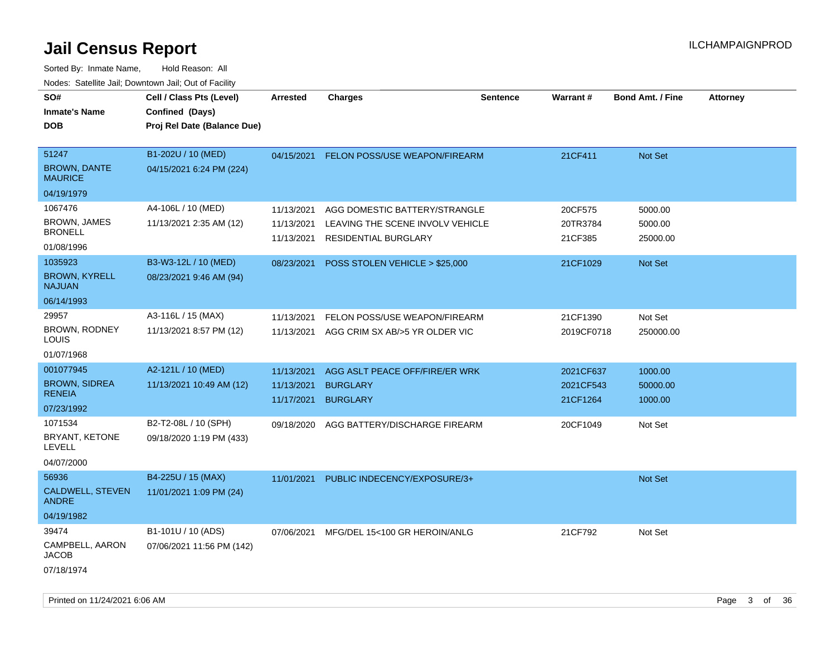| SO#                                   | Cell / Class Pts (Level)    | Arrested   | <b>Charges</b>                   | <b>Sentence</b> | Warrant #  | <b>Bond Amt. / Fine</b> | <b>Attorney</b> |
|---------------------------------------|-----------------------------|------------|----------------------------------|-----------------|------------|-------------------------|-----------------|
| <b>Inmate's Name</b>                  | Confined (Days)             |            |                                  |                 |            |                         |                 |
| <b>DOB</b>                            | Proj Rel Date (Balance Due) |            |                                  |                 |            |                         |                 |
|                                       |                             |            |                                  |                 |            |                         |                 |
| 51247                                 | B1-202U / 10 (MED)          | 04/15/2021 | FELON POSS/USE WEAPON/FIREARM    |                 | 21CF411    | Not Set                 |                 |
| <b>BROWN, DANTE</b><br><b>MAURICE</b> | 04/15/2021 6:24 PM (224)    |            |                                  |                 |            |                         |                 |
| 04/19/1979                            |                             |            |                                  |                 |            |                         |                 |
| 1067476                               | A4-106L / 10 (MED)          | 11/13/2021 | AGG DOMESTIC BATTERY/STRANGLE    |                 | 20CF575    | 5000.00                 |                 |
| <b>BROWN, JAMES</b>                   | 11/13/2021 2:35 AM (12)     | 11/13/2021 | LEAVING THE SCENE INVOLV VEHICLE |                 | 20TR3784   | 5000.00                 |                 |
| <b>BRONELL</b>                        |                             | 11/13/2021 | RESIDENTIAL BURGLARY             |                 | 21CF385    | 25000.00                |                 |
| 01/08/1996                            |                             |            |                                  |                 |            |                         |                 |
| 1035923                               | B3-W3-12L / 10 (MED)        | 08/23/2021 | POSS STOLEN VEHICLE > \$25,000   |                 | 21CF1029   | Not Set                 |                 |
| <b>BROWN, KYRELL</b><br><b>NAJUAN</b> | 08/23/2021 9:46 AM (94)     |            |                                  |                 |            |                         |                 |
| 06/14/1993                            |                             |            |                                  |                 |            |                         |                 |
| 29957                                 | A3-116L / 15 (MAX)          | 11/13/2021 | FELON POSS/USE WEAPON/FIREARM    |                 | 21CF1390   | Not Set                 |                 |
| <b>BROWN, RODNEY</b>                  | 11/13/2021 8:57 PM (12)     | 11/13/2021 | AGG CRIM SX AB/>5 YR OLDER VIC   |                 | 2019CF0718 | 250000.00               |                 |
| LOUIS                                 |                             |            |                                  |                 |            |                         |                 |
| 01/07/1968                            |                             |            |                                  |                 |            |                         |                 |
| 001077945                             | A2-121L / 10 (MED)          | 11/13/2021 | AGG ASLT PEACE OFF/FIRE/ER WRK   |                 | 2021CF637  | 1000.00                 |                 |
| <b>BROWN, SIDREA</b><br><b>RENEIA</b> | 11/13/2021 10:49 AM (12)    | 11/13/2021 | <b>BURGLARY</b>                  |                 | 2021CF543  | 50000.00                |                 |
| 07/23/1992                            |                             | 11/17/2021 | <b>BURGLARY</b>                  |                 | 21CF1264   | 1000.00                 |                 |
| 1071534                               |                             |            |                                  |                 |            |                         |                 |
| BRYANT, KETONE                        | B2-T2-08L / 10 (SPH)        | 09/18/2020 | AGG BATTERY/DISCHARGE FIREARM    |                 | 20CF1049   | Not Set                 |                 |
| LEVELL                                | 09/18/2020 1:19 PM (433)    |            |                                  |                 |            |                         |                 |
| 04/07/2000                            |                             |            |                                  |                 |            |                         |                 |
| 56936                                 | B4-225U / 15 (MAX)          | 11/01/2021 | PUBLIC INDECENCY/EXPOSURE/3+     |                 |            | Not Set                 |                 |
| CALDWELL, STEVEN<br><b>ANDRE</b>      | 11/01/2021 1:09 PM (24)     |            |                                  |                 |            |                         |                 |
| 04/19/1982                            |                             |            |                                  |                 |            |                         |                 |
| 39474                                 | B1-101U / 10 (ADS)          | 07/06/2021 | MFG/DEL 15<100 GR HEROIN/ANLG    |                 | 21CF792    | Not Set                 |                 |
| CAMPBELL, AARON<br><b>JACOB</b>       | 07/06/2021 11:56 PM (142)   |            |                                  |                 |            |                         |                 |
| 07/18/1974                            |                             |            |                                  |                 |            |                         |                 |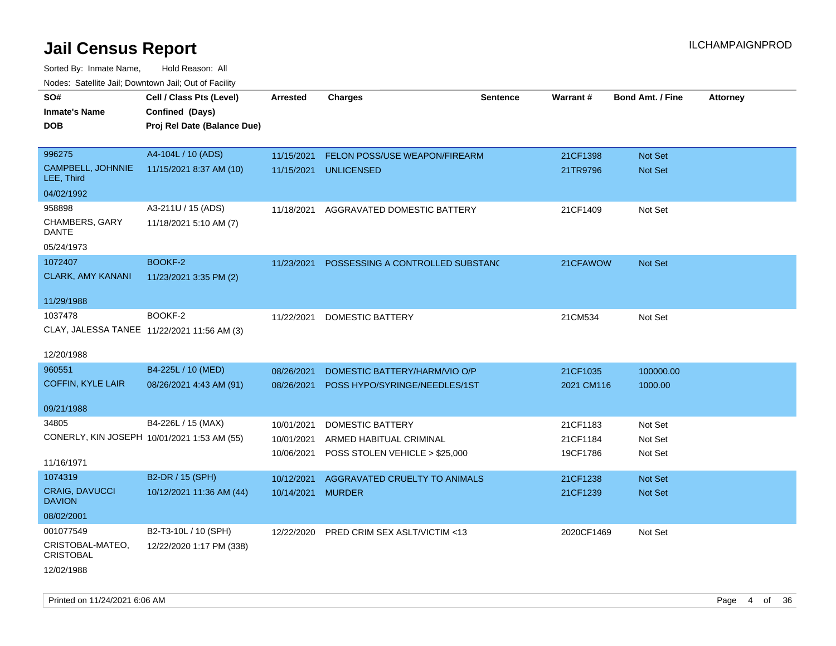| SO#<br><b>Inmate's Name</b><br><b>DOB</b>   | Cell / Class Pts (Level)<br>Confined (Days)<br>Proj Rel Date (Balance Due) | <b>Arrested</b> | <b>Charges</b>                   | <b>Sentence</b> | Warrant#   | <b>Bond Amt. / Fine</b> | <b>Attorney</b> |
|---------------------------------------------|----------------------------------------------------------------------------|-----------------|----------------------------------|-----------------|------------|-------------------------|-----------------|
|                                             |                                                                            |                 |                                  |                 |            |                         |                 |
| 996275                                      | A4-104L / 10 (ADS)                                                         | 11/15/2021      | FELON POSS/USE WEAPON/FIREARM    |                 | 21CF1398   | Not Set                 |                 |
| CAMPBELL, JOHNNIE<br>LEE, Third             | 11/15/2021 8:37 AM (10)                                                    | 11/15/2021      | <b>UNLICENSED</b>                |                 | 21TR9796   | Not Set                 |                 |
| 04/02/1992                                  |                                                                            |                 |                                  |                 |            |                         |                 |
| 958898<br>CHAMBERS, GARY<br>DANTE           | A3-211U / 15 (ADS)<br>11/18/2021 5:10 AM (7)                               | 11/18/2021      | AGGRAVATED DOMESTIC BATTERY      |                 | 21CF1409   | Not Set                 |                 |
| 05/24/1973                                  |                                                                            |                 |                                  |                 |            |                         |                 |
| 1072407                                     | BOOKF-2                                                                    | 11/23/2021      | POSSESSING A CONTROLLED SUBSTANC |                 | 21CFAWOW   | Not Set                 |                 |
| <b>CLARK, AMY KANANI</b>                    | 11/23/2021 3:35 PM (2)                                                     |                 |                                  |                 |            |                         |                 |
| 11/29/1988                                  |                                                                            |                 |                                  |                 |            |                         |                 |
| 1037478                                     | BOOKF-2                                                                    | 11/22/2021      | DOMESTIC BATTERY                 |                 | 21CM534    | Not Set                 |                 |
| CLAY, JALESSA TANEE 11/22/2021 11:56 AM (3) |                                                                            |                 |                                  |                 |            |                         |                 |
| 12/20/1988                                  |                                                                            |                 |                                  |                 |            |                         |                 |
| 960551                                      | B4-225L / 10 (MED)                                                         | 08/26/2021      | DOMESTIC BATTERY/HARM/VIO O/P    |                 | 21CF1035   | 100000.00               |                 |
| <b>COFFIN, KYLE LAIR</b>                    | 08/26/2021 4:43 AM (91)                                                    | 08/26/2021      | POSS HYPO/SYRINGE/NEEDLES/1ST    |                 | 2021 CM116 | 1000.00                 |                 |
|                                             |                                                                            |                 |                                  |                 |            |                         |                 |
| 09/21/1988                                  |                                                                            |                 |                                  |                 |            |                         |                 |
| 34805                                       | B4-226L / 15 (MAX)                                                         | 10/01/2021      | <b>DOMESTIC BATTERY</b>          |                 | 21CF1183   | Not Set                 |                 |
| CONERLY, KIN JOSEPH 10/01/2021 1:53 AM (55) |                                                                            | 10/01/2021      | ARMED HABITUAL CRIMINAL          |                 | 21CF1184   | Not Set                 |                 |
| 11/16/1971                                  |                                                                            | 10/06/2021      | POSS STOLEN VEHICLE > \$25,000   |                 | 19CF1786   | Not Set                 |                 |
| 1074319                                     | B2-DR / 15 (SPH)                                                           |                 |                                  |                 |            |                         |                 |
|                                             |                                                                            | 10/12/2021      | AGGRAVATED CRUELTY TO ANIMALS    |                 | 21CF1238   | <b>Not Set</b>          |                 |
| CRAIG, DAVUCCI<br><b>DAVION</b>             | 10/12/2021 11:36 AM (44)                                                   | 10/14/2021      | <b>MURDER</b>                    |                 | 21CF1239   | Not Set                 |                 |
| 08/02/2001                                  |                                                                            |                 |                                  |                 |            |                         |                 |
| 001077549                                   | B2-T3-10L / 10 (SPH)                                                       | 12/22/2020      | PRED CRIM SEX ASLT/VICTIM <13    |                 | 2020CF1469 | Not Set                 |                 |
| CRISTOBAL-MATEO,<br><b>CRISTOBAL</b>        | 12/22/2020 1:17 PM (338)                                                   |                 |                                  |                 |            |                         |                 |
| 12/02/1988                                  |                                                                            |                 |                                  |                 |            |                         |                 |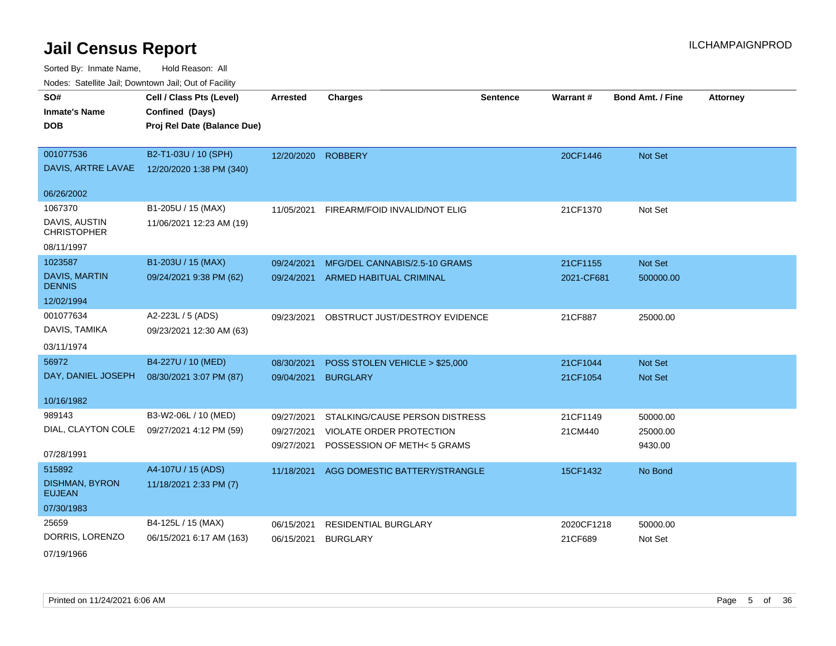Sorted By: Inmate Name, Hold Reason: All Nodes: Satellite Jail; Downtown Jail; Out of Facility

| nouco. Catolino call, Downtown call, Out of Fabilit |                             |                    |                                 |                 |            |                         |                 |
|-----------------------------------------------------|-----------------------------|--------------------|---------------------------------|-----------------|------------|-------------------------|-----------------|
| SO#                                                 | Cell / Class Pts (Level)    | <b>Arrested</b>    | <b>Charges</b>                  | <b>Sentence</b> | Warrant#   | <b>Bond Amt. / Fine</b> | <b>Attorney</b> |
| <b>Inmate's Name</b>                                | Confined (Days)             |                    |                                 |                 |            |                         |                 |
| <b>DOB</b>                                          | Proj Rel Date (Balance Due) |                    |                                 |                 |            |                         |                 |
|                                                     |                             |                    |                                 |                 |            |                         |                 |
| 001077536                                           | B2-T1-03U / 10 (SPH)        | 12/20/2020 ROBBERY |                                 |                 | 20CF1446   | Not Set                 |                 |
| DAVIS, ARTRE LAVAE                                  | 12/20/2020 1:38 PM (340)    |                    |                                 |                 |            |                         |                 |
| 06/26/2002                                          |                             |                    |                                 |                 |            |                         |                 |
| 1067370                                             | B1-205U / 15 (MAX)          | 11/05/2021         | FIREARM/FOID INVALID/NOT ELIG   |                 | 21CF1370   | Not Set                 |                 |
| DAVIS, AUSTIN<br><b>CHRISTOPHER</b>                 | 11/06/2021 12:23 AM (19)    |                    |                                 |                 |            |                         |                 |
| 08/11/1997                                          |                             |                    |                                 |                 |            |                         |                 |
| 1023587                                             | B1-203U / 15 (MAX)          | 09/24/2021         | MFG/DEL CANNABIS/2.5-10 GRAMS   |                 | 21CF1155   | Not Set                 |                 |
| <b>DAVIS, MARTIN</b><br><b>DENNIS</b>               | 09/24/2021 9:38 PM (62)     | 09/24/2021         | <b>ARMED HABITUAL CRIMINAL</b>  |                 | 2021-CF681 | 500000.00               |                 |
| 12/02/1994                                          |                             |                    |                                 |                 |            |                         |                 |
| 001077634                                           | A2-223L / 5 (ADS)           | 09/23/2021         | OBSTRUCT JUST/DESTROY EVIDENCE  |                 | 21CF887    | 25000.00                |                 |
| DAVIS, TAMIKA                                       | 09/23/2021 12:30 AM (63)    |                    |                                 |                 |            |                         |                 |
| 03/11/1974                                          |                             |                    |                                 |                 |            |                         |                 |
| 56972                                               | B4-227U / 10 (MED)          | 08/30/2021         | POSS STOLEN VEHICLE > \$25,000  |                 | 21CF1044   | Not Set                 |                 |
| DAY, DANIEL JOSEPH                                  | 08/30/2021 3:07 PM (87)     | 09/04/2021         | <b>BURGLARY</b>                 |                 | 21CF1054   | Not Set                 |                 |
|                                                     |                             |                    |                                 |                 |            |                         |                 |
| 10/16/1982                                          |                             |                    |                                 |                 |            |                         |                 |
| 989143                                              | B3-W2-06L / 10 (MED)        | 09/27/2021         | STALKING/CAUSE PERSON DISTRESS  |                 | 21CF1149   | 50000.00                |                 |
| DIAL, CLAYTON COLE                                  | 09/27/2021 4:12 PM (59)     | 09/27/2021         | <b>VIOLATE ORDER PROTECTION</b> |                 | 21CM440    | 25000.00                |                 |
| 07/28/1991                                          |                             | 09/27/2021         | POSSESSION OF METH< 5 GRAMS     |                 |            | 9430.00                 |                 |
| 515892                                              | A4-107U / 15 (ADS)          | 11/18/2021         | AGG DOMESTIC BATTERY/STRANGLE   |                 | 15CF1432   | No Bond                 |                 |
| <b>DISHMAN, BYRON</b><br><b>EUJEAN</b>              | 11/18/2021 2:33 PM (7)      |                    |                                 |                 |            |                         |                 |
| 07/30/1983                                          |                             |                    |                                 |                 |            |                         |                 |
| 25659                                               | B4-125L / 15 (MAX)          | 06/15/2021         | <b>RESIDENTIAL BURGLARY</b>     |                 | 2020CF1218 | 50000.00                |                 |
| DORRIS, LORENZO                                     | 06/15/2021 6:17 AM (163)    | 06/15/2021         | <b>BURGLARY</b>                 |                 | 21CF689    | Not Set                 |                 |

07/19/1966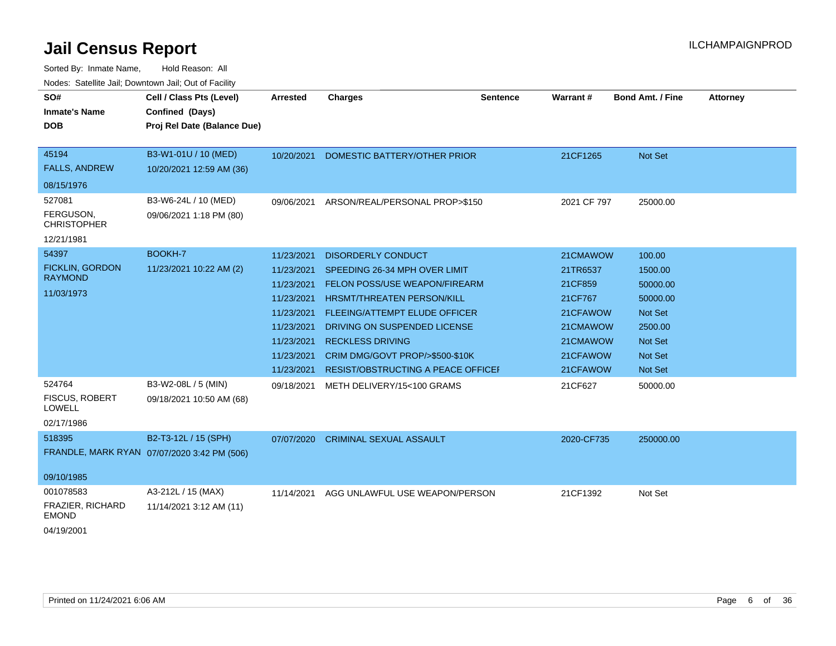| SO#<br><b>Inmate's Name</b><br><b>DOB</b>                   | Cell / Class Pts (Level)<br>Confined (Days)<br>Proj Rel Date (Balance Due) | <b>Arrested</b>                                                                                                            | <b>Charges</b>                                                                                                                                                                                                                                                                                        | <b>Sentence</b> | Warrant#                                                                                               | <b>Bond Amt. / Fine</b>                                                                          | <b>Attorney</b> |
|-------------------------------------------------------------|----------------------------------------------------------------------------|----------------------------------------------------------------------------------------------------------------------------|-------------------------------------------------------------------------------------------------------------------------------------------------------------------------------------------------------------------------------------------------------------------------------------------------------|-----------------|--------------------------------------------------------------------------------------------------------|--------------------------------------------------------------------------------------------------|-----------------|
| 45194<br><b>FALLS, ANDREW</b><br>08/15/1976                 | B3-W1-01U / 10 (MED)<br>10/20/2021 12:59 AM (36)                           | 10/20/2021                                                                                                                 | DOMESTIC BATTERY/OTHER PRIOR                                                                                                                                                                                                                                                                          |                 | 21CF1265                                                                                               | Not Set                                                                                          |                 |
| 527081<br>FERGUSON,<br><b>CHRISTOPHER</b><br>12/21/1981     | B3-W6-24L / 10 (MED)<br>09/06/2021 1:18 PM (80)                            | 09/06/2021                                                                                                                 | ARSON/REAL/PERSONAL PROP>\$150                                                                                                                                                                                                                                                                        |                 | 2021 CF 797                                                                                            | 25000.00                                                                                         |                 |
| 54397<br>FICKLIN, GORDON<br><b>RAYMOND</b><br>11/03/1973    | BOOKH-7<br>11/23/2021 10:22 AM (2)                                         | 11/23/2021<br>11/23/2021<br>11/23/2021<br>11/23/2021<br>11/23/2021<br>11/23/2021<br>11/23/2021<br>11/23/2021<br>11/23/2021 | <b>DISORDERLY CONDUCT</b><br>SPEEDING 26-34 MPH OVER LIMIT<br>FELON POSS/USE WEAPON/FIREARM<br><b>HRSMT/THREATEN PERSON/KILL</b><br>FLEEING/ATTEMPT ELUDE OFFICER<br>DRIVING ON SUSPENDED LICENSE<br><b>RECKLESS DRIVING</b><br>CRIM DMG/GOVT PROP/>\$500-\$10K<br>RESIST/OBSTRUCTING A PEACE OFFICEF |                 | 21CMAWOW<br>21TR6537<br>21CF859<br>21CF767<br>21CFAWOW<br>21CMAWOW<br>21CMAWOW<br>21CFAWOW<br>21CFAWOW | 100.00<br>1500.00<br>50000.00<br>50000.00<br>Not Set<br>2500.00<br>Not Set<br>Not Set<br>Not Set |                 |
| 524764<br>FISCUS, ROBERT<br><b>LOWELL</b><br>02/17/1986     | B3-W2-08L / 5 (MIN)<br>09/18/2021 10:50 AM (68)                            | 09/18/2021                                                                                                                 | METH DELIVERY/15<100 GRAMS                                                                                                                                                                                                                                                                            |                 | 21CF627                                                                                                | 50000.00                                                                                         |                 |
| 518395<br>09/10/1985                                        | B2-T3-12L / 15 (SPH)<br>FRANDLE, MARK RYAN 07/07/2020 3:42 PM (506)        | 07/07/2020                                                                                                                 | <b>CRIMINAL SEXUAL ASSAULT</b>                                                                                                                                                                                                                                                                        |                 | 2020-CF735                                                                                             | 250000.00                                                                                        |                 |
| 001078583<br>FRAZIER, RICHARD<br><b>EMOND</b><br>04/19/2001 | A3-212L / 15 (MAX)<br>11/14/2021 3:12 AM (11)                              | 11/14/2021                                                                                                                 | AGG UNLAWFUL USE WEAPON/PERSON                                                                                                                                                                                                                                                                        |                 | 21CF1392                                                                                               | Not Set                                                                                          |                 |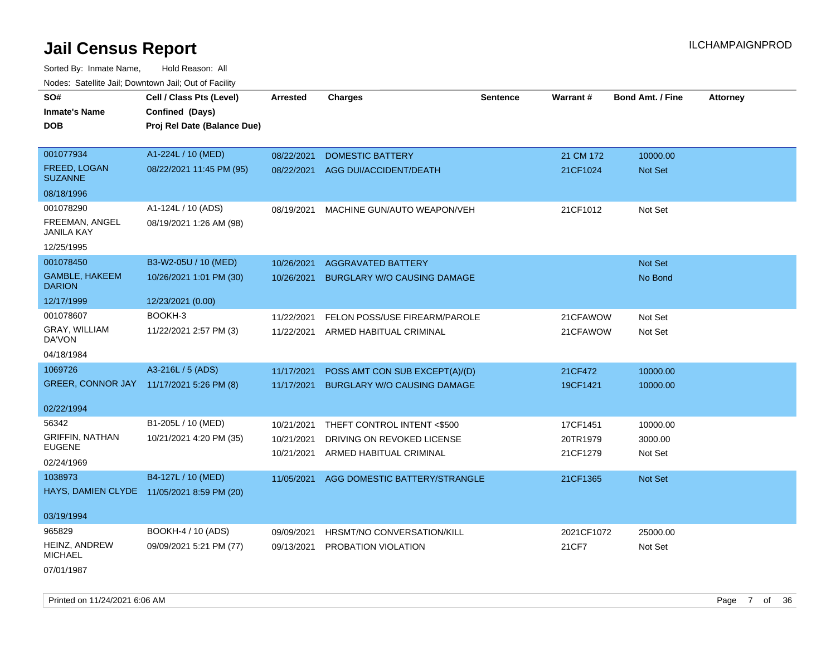Sorted By: Inmate Name, Hold Reason: All Nodes: Satellite Jail; Downtown Jail; Out of Facility

| SO#                             | Cell / Class Pts (Level)                   | <b>Arrested</b> | <b>Charges</b>                     | <b>Sentence</b> | Warrant#   | <b>Bond Amt. / Fine</b> | <b>Attorney</b> |
|---------------------------------|--------------------------------------------|-----------------|------------------------------------|-----------------|------------|-------------------------|-----------------|
| <b>Inmate's Name</b>            | Confined (Days)                            |                 |                                    |                 |            |                         |                 |
| <b>DOB</b>                      | Proj Rel Date (Balance Due)                |                 |                                    |                 |            |                         |                 |
|                                 |                                            |                 |                                    |                 |            |                         |                 |
| 001077934                       | A1-224L / 10 (MED)                         | 08/22/2021      | <b>DOMESTIC BATTERY</b>            |                 | 21 CM 172  | 10000.00                |                 |
| FREED, LOGAN<br><b>SUZANNE</b>  | 08/22/2021 11:45 PM (95)                   | 08/22/2021      | AGG DUI/ACCIDENT/DEATH             |                 | 21CF1024   | Not Set                 |                 |
| 08/18/1996                      |                                            |                 |                                    |                 |            |                         |                 |
| 001078290                       | A1-124L / 10 (ADS)                         | 08/19/2021      | MACHINE GUN/AUTO WEAPON/VEH        |                 | 21CF1012   | Not Set                 |                 |
| FREEMAN, ANGEL<br>JANILA KAY    | 08/19/2021 1:26 AM (98)                    |                 |                                    |                 |            |                         |                 |
| 12/25/1995                      |                                            |                 |                                    |                 |            |                         |                 |
| 001078450                       | B3-W2-05U / 10 (MED)                       | 10/26/2021      | <b>AGGRAVATED BATTERY</b>          |                 |            | <b>Not Set</b>          |                 |
| GAMBLE, HAKEEM<br><b>DARION</b> | 10/26/2021 1:01 PM (30)                    | 10/26/2021      | BURGLARY W/O CAUSING DAMAGE        |                 |            | No Bond                 |                 |
| 12/17/1999                      | 12/23/2021 (0.00)                          |                 |                                    |                 |            |                         |                 |
| 001078607                       | BOOKH-3                                    | 11/22/2021      | FELON POSS/USE FIREARM/PAROLE      |                 | 21CFAWOW   | Not Set                 |                 |
| GRAY, WILLIAM<br>DA'VON         | 11/22/2021 2:57 PM (3)                     | 11/22/2021      | ARMED HABITUAL CRIMINAL            |                 | 21CFAWOW   | Not Set                 |                 |
| 04/18/1984                      |                                            |                 |                                    |                 |            |                         |                 |
| 1069726                         | A3-216L / 5 (ADS)                          | 11/17/2021      | POSS AMT CON SUB EXCEPT(A)/(D)     |                 | 21CF472    | 10000.00                |                 |
| <b>GREER, CONNOR JAY</b>        | 11/17/2021 5:26 PM (8)                     | 11/17/2021      | <b>BURGLARY W/O CAUSING DAMAGE</b> |                 | 19CF1421   | 10000.00                |                 |
| 02/22/1994                      |                                            |                 |                                    |                 |            |                         |                 |
| 56342                           | B1-205L / 10 (MED)                         | 10/21/2021      | THEFT CONTROL INTENT <\$500        |                 | 17CF1451   | 10000.00                |                 |
| <b>GRIFFIN, NATHAN</b>          | 10/21/2021 4:20 PM (35)                    | 10/21/2021      | DRIVING ON REVOKED LICENSE         |                 | 20TR1979   | 3000.00                 |                 |
| <b>EUGENE</b>                   |                                            | 10/21/2021      | ARMED HABITUAL CRIMINAL            |                 | 21CF1279   | Not Set                 |                 |
| 02/24/1969                      |                                            |                 |                                    |                 |            |                         |                 |
| 1038973                         | B4-127L / 10 (MED)                         | 11/05/2021      | AGG DOMESTIC BATTERY/STRANGLE      |                 | 21CF1365   | Not Set                 |                 |
|                                 | HAYS, DAMIEN CLYDE 11/05/2021 8:59 PM (20) |                 |                                    |                 |            |                         |                 |
| 03/19/1994                      |                                            |                 |                                    |                 |            |                         |                 |
| 965829                          | BOOKH-4 / 10 (ADS)                         | 09/09/2021      | HRSMT/NO CONVERSATION/KILL         |                 | 2021CF1072 | 25000.00                |                 |
| HEINZ, ANDREW<br><b>MICHAEL</b> | 09/09/2021 5:21 PM (77)                    | 09/13/2021      | PROBATION VIOLATION                |                 | 21CF7      | Not Set                 |                 |
|                                 |                                            |                 |                                    |                 |            |                         |                 |

07/01/1987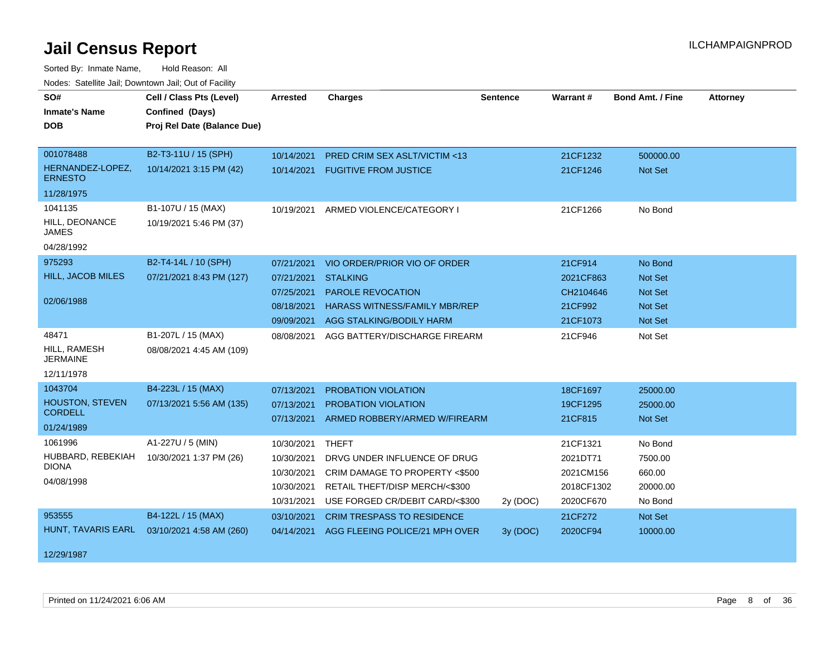| SO#                                | Cell / Class Pts (Level)    | <b>Arrested</b> | <b>Charges</b>                       | <b>Sentence</b> | Warrant#   | <b>Bond Amt. / Fine</b> | <b>Attorney</b> |
|------------------------------------|-----------------------------|-----------------|--------------------------------------|-----------------|------------|-------------------------|-----------------|
| <b>Inmate's Name</b>               | Confined (Days)             |                 |                                      |                 |            |                         |                 |
| <b>DOB</b>                         | Proj Rel Date (Balance Due) |                 |                                      |                 |            |                         |                 |
|                                    |                             |                 |                                      |                 |            |                         |                 |
| 001078488                          | B2-T3-11U / 15 (SPH)        | 10/14/2021      | PRED CRIM SEX ASLT/VICTIM <13        |                 | 21CF1232   | 500000.00               |                 |
| HERNANDEZ-LOPEZ,<br><b>ERNESTO</b> | 10/14/2021 3:15 PM (42)     | 10/14/2021      | <b>FUGITIVE FROM JUSTICE</b>         |                 | 21CF1246   | Not Set                 |                 |
| 11/28/1975                         |                             |                 |                                      |                 |            |                         |                 |
| 1041135                            | B1-107U / 15 (MAX)          | 10/19/2021      | ARMED VIOLENCE/CATEGORY I            |                 | 21CF1266   | No Bond                 |                 |
| HILL, DEONANCE<br><b>JAMES</b>     | 10/19/2021 5:46 PM (37)     |                 |                                      |                 |            |                         |                 |
| 04/28/1992                         |                             |                 |                                      |                 |            |                         |                 |
| 975293                             | B2-T4-14L / 10 (SPH)        | 07/21/2021      | VIO ORDER/PRIOR VIO OF ORDER         |                 | 21CF914    | No Bond                 |                 |
| HILL, JACOB MILES                  | 07/21/2021 8:43 PM (127)    | 07/21/2021      | <b>STALKING</b>                      |                 | 2021CF863  | <b>Not Set</b>          |                 |
|                                    |                             | 07/25/2021      | PAROLE REVOCATION                    |                 | CH2104646  | <b>Not Set</b>          |                 |
| 02/06/1988                         |                             | 08/18/2021      | <b>HARASS WITNESS/FAMILY MBR/REP</b> |                 | 21CF992    | <b>Not Set</b>          |                 |
|                                    |                             | 09/09/2021      | AGG STALKING/BODILY HARM             |                 | 21CF1073   | Not Set                 |                 |
| 48471                              | B1-207L / 15 (MAX)          | 08/08/2021      | AGG BATTERY/DISCHARGE FIREARM        |                 | 21CF946    | Not Set                 |                 |
| HILL, RAMESH<br><b>JERMAINE</b>    | 08/08/2021 4:45 AM (109)    |                 |                                      |                 |            |                         |                 |
| 12/11/1978                         |                             |                 |                                      |                 |            |                         |                 |
| 1043704                            | B4-223L / 15 (MAX)          | 07/13/2021      | PROBATION VIOLATION                  |                 | 18CF1697   | 25000.00                |                 |
| <b>HOUSTON, STEVEN</b>             | 07/13/2021 5:56 AM (135)    | 07/13/2021      | PROBATION VIOLATION                  |                 | 19CF1295   | 25000.00                |                 |
| <b>CORDELL</b>                     |                             | 07/13/2021      | ARMED ROBBERY/ARMED W/FIREARM        |                 | 21CF815    | Not Set                 |                 |
| 01/24/1989                         |                             |                 |                                      |                 |            |                         |                 |
| 1061996                            | A1-227U / 5 (MIN)           | 10/30/2021      | <b>THEFT</b>                         |                 | 21CF1321   | No Bond                 |                 |
| HUBBARD, REBEKIAH<br><b>DIONA</b>  | 10/30/2021 1:37 PM (26)     | 10/30/2021      | DRVG UNDER INFLUENCE OF DRUG         |                 | 2021DT71   | 7500.00                 |                 |
| 04/08/1998                         |                             | 10/30/2021      | CRIM DAMAGE TO PROPERTY <\$500       |                 | 2021CM156  | 660.00                  |                 |
|                                    |                             | 10/30/2021      | RETAIL THEFT/DISP MERCH/<\$300       |                 | 2018CF1302 | 20000.00                |                 |
|                                    |                             | 10/31/2021      | USE FORGED CR/DEBIT CARD/<\$300      | 2y (DOC)        | 2020CF670  | No Bond                 |                 |
| 953555                             | B4-122L / 15 (MAX)          | 03/10/2021      | <b>CRIM TRESPASS TO RESIDENCE</b>    |                 | 21CF272    | Not Set                 |                 |
| HUNT, TAVARIS EARL                 | 03/10/2021 4:58 AM (260)    | 04/14/2021      | AGG FLEEING POLICE/21 MPH OVER       | 3y (DOC)        | 2020CF94   | 10000.00                |                 |
| 12/29/1987                         |                             |                 |                                      |                 |            |                         |                 |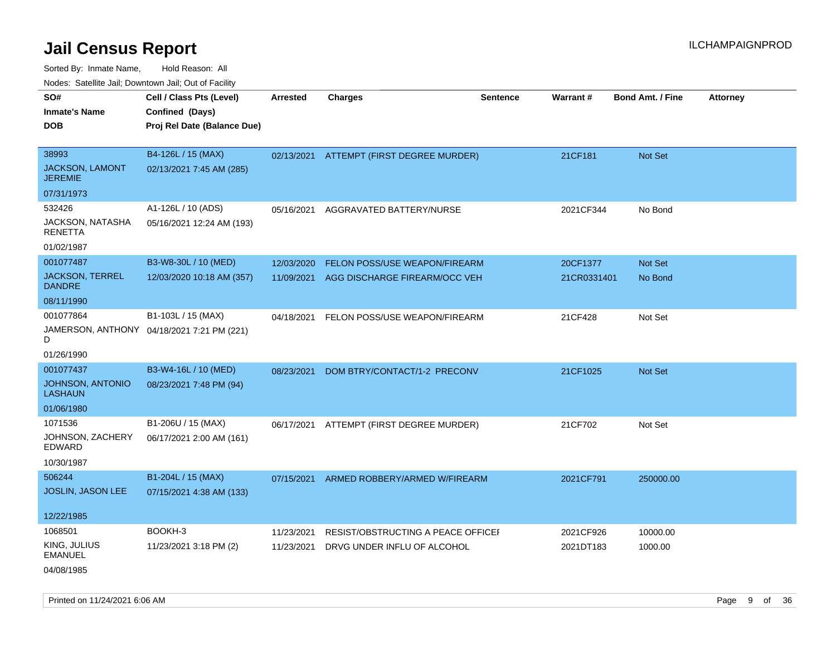| rouco. Calcillo Jali, Downtown Jali, Out of Facility              |                                                                            |                          |                                                                   |                 |                         |                         |                 |
|-------------------------------------------------------------------|----------------------------------------------------------------------------|--------------------------|-------------------------------------------------------------------|-----------------|-------------------------|-------------------------|-----------------|
| SO#<br>Inmate's Name<br>DOB                                       | Cell / Class Pts (Level)<br>Confined (Days)<br>Proj Rel Date (Balance Due) | <b>Arrested</b>          | Charges                                                           | <b>Sentence</b> | Warrant#                | <b>Bond Amt. / Fine</b> | <b>Attorney</b> |
| 38993<br><b>JACKSON, LAMONT</b><br>JEREMIE                        | B4-126L / 15 (MAX)<br>02/13/2021 7:45 AM (285)                             |                          | 02/13/2021 ATTEMPT (FIRST DEGREE MURDER)                          |                 | 21CF181                 | Not Set                 |                 |
| 07/31/1973<br>532426<br>JACKSON, NATASHA<br>RENETTA<br>01/02/1987 | A1-126L / 10 (ADS)<br>05/16/2021 12:24 AM (193)                            | 05/16/2021               | AGGRAVATED BATTERY/NURSE                                          |                 | 2021CF344               | No Bond                 |                 |
| 001077487<br><b>JACKSON, TERREL</b><br>DANDRE<br>08/11/1990       | B3-W8-30L / 10 (MED)<br>12/03/2020 10:18 AM (357)                          | 12/03/2020<br>11/09/2021 | FELON POSS/USE WEAPON/FIREARM<br>AGG DISCHARGE FIREARM/OCC VEH    |                 | 20CF1377<br>21CR0331401 | Not Set<br>No Bond      |                 |
| 001077864<br>D<br>01/26/1990                                      | B1-103L / 15 (MAX)<br>JAMERSON, ANTHONY 04/18/2021 7:21 PM (221)           | 04/18/2021               | FELON POSS/USE WEAPON/FIREARM                                     |                 | 21CF428                 | Not Set                 |                 |
| 001077437<br>JOHNSON, ANTONIO<br>LASHAUN<br>01/06/1980            | B3-W4-16L / 10 (MED)<br>08/23/2021 7:48 PM (94)                            | 08/23/2021               | DOM BTRY/CONTACT/1-2 PRECONV                                      |                 | 21CF1025                | <b>Not Set</b>          |                 |
| 1071536<br>JOHNSON, ZACHERY<br>EDWARD<br>10/30/1987               | B1-206U / 15 (MAX)<br>06/17/2021 2:00 AM (161)                             | 06/17/2021               | ATTEMPT (FIRST DEGREE MURDER)                                     |                 | 21CF702                 | Not Set                 |                 |
| 506244<br><b>JOSLIN, JASON LEE</b><br>12/22/1985                  | B1-204L / 15 (MAX)<br>07/15/2021 4:38 AM (133)                             | 07/15/2021               | ARMED ROBBERY/ARMED W/FIREARM                                     |                 | 2021CF791               | 250000.00               |                 |
| 1068501<br>KING, JULIUS<br><b>EMANUEL</b><br>04/08/1985           | BOOKH-3<br>11/23/2021 3:18 PM (2)                                          | 11/23/2021<br>11/23/2021 | RESIST/OBSTRUCTING A PEACE OFFICER<br>DRVG UNDER INFLU OF ALCOHOL |                 | 2021CF926<br>2021DT183  | 10000.00<br>1000.00     |                 |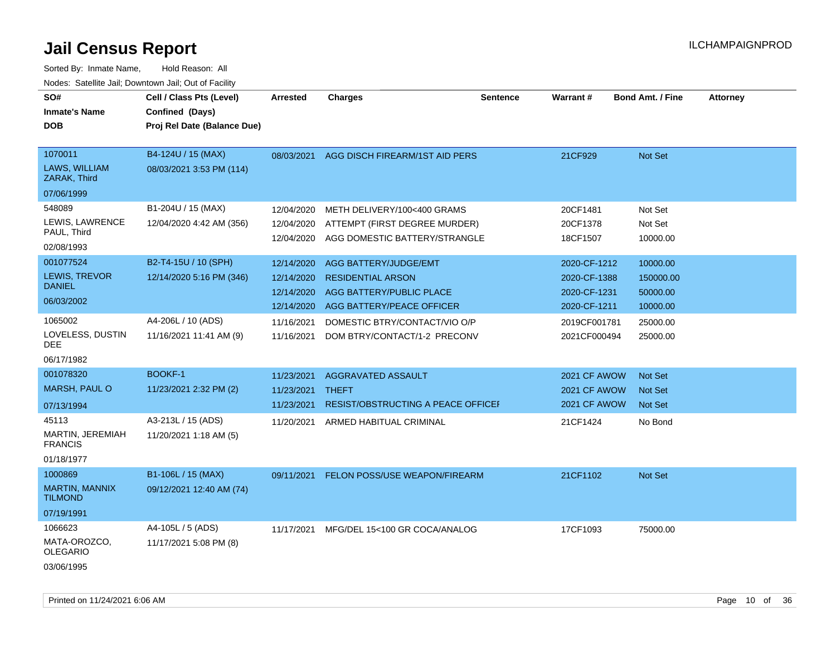| SO#<br><b>Inmate's Name</b><br><b>DOB</b>                        | Cell / Class Pts (Level)<br>Confined (Days)<br>Proj Rel Date (Balance Due) | <b>Arrested</b>                                      | <b>Charges</b>                                                                                             | <b>Sentence</b> | Warrant#                                                     | <b>Bond Amt. / Fine</b>                       | <b>Attorney</b> |
|------------------------------------------------------------------|----------------------------------------------------------------------------|------------------------------------------------------|------------------------------------------------------------------------------------------------------------|-----------------|--------------------------------------------------------------|-----------------------------------------------|-----------------|
| 1070011<br>LAWS, WILLIAM<br>ZARAK, Third                         | B4-124U / 15 (MAX)<br>08/03/2021 3:53 PM (114)                             | 08/03/2021                                           | AGG DISCH FIREARM/1ST AID PERS                                                                             |                 | 21CF929                                                      | Not Set                                       |                 |
| 07/06/1999                                                       |                                                                            |                                                      |                                                                                                            |                 |                                                              |                                               |                 |
| 548089<br>LEWIS, LAWRENCE<br>PAUL, Third<br>02/08/1993           | B1-204U / 15 (MAX)<br>12/04/2020 4:42 AM (356)                             | 12/04/2020<br>12/04/2020<br>12/04/2020               | METH DELIVERY/100<400 GRAMS<br>ATTEMPT (FIRST DEGREE MURDER)<br>AGG DOMESTIC BATTERY/STRANGLE              |                 | 20CF1481<br>20CF1378<br>18CF1507                             | Not Set<br>Not Set<br>10000.00                |                 |
| 001077524<br><b>LEWIS, TREVOR</b><br><b>DANIEL</b><br>06/03/2002 | B2-T4-15U / 10 (SPH)<br>12/14/2020 5:16 PM (346)                           | 12/14/2020<br>12/14/2020<br>12/14/2020<br>12/14/2020 | AGG BATTERY/JUDGE/EMT<br><b>RESIDENTIAL ARSON</b><br>AGG BATTERY/PUBLIC PLACE<br>AGG BATTERY/PEACE OFFICER |                 | 2020-CF-1212<br>2020-CF-1388<br>2020-CF-1231<br>2020-CF-1211 | 10000.00<br>150000.00<br>50000.00<br>10000.00 |                 |
| 1065002<br>LOVELESS, DUSTIN<br>DEE.<br>06/17/1982                | A4-206L / 10 (ADS)<br>11/16/2021 11:41 AM (9)                              | 11/16/2021<br>11/16/2021                             | DOMESTIC BTRY/CONTACT/VIO O/P<br>DOM BTRY/CONTACT/1-2 PRECONV                                              |                 | 2019CF001781<br>2021CF000494                                 | 25000.00<br>25000.00                          |                 |
| 001078320<br><b>MARSH, PAUL O</b><br>07/13/1994                  | <b>BOOKF-1</b><br>11/23/2021 2:32 PM (2)                                   | 11/23/2021<br>11/23/2021 THEFT<br>11/23/2021         | AGGRAVATED ASSAULT<br><b>RESIST/OBSTRUCTING A PEACE OFFICEF</b>                                            |                 | 2021 CF AWOW<br>2021 CF AWOW<br>2021 CF AWOW                 | <b>Not Set</b><br><b>Not Set</b><br>Not Set   |                 |
| 45113<br><b>MARTIN, JEREMIAH</b><br><b>FRANCIS</b><br>01/18/1977 | A3-213L / 15 (ADS)<br>11/20/2021 1:18 AM (5)                               | 11/20/2021                                           | ARMED HABITUAL CRIMINAL                                                                                    |                 | 21CF1424                                                     | No Bond                                       |                 |
| 1000869<br><b>MARTIN, MANNIX</b><br><b>TILMOND</b><br>07/19/1991 | B1-106L / 15 (MAX)<br>09/12/2021 12:40 AM (74)                             | 09/11/2021                                           | FELON POSS/USE WEAPON/FIREARM                                                                              |                 | 21CF1102                                                     | Not Set                                       |                 |
| 1066623<br>MATA-OROZCO,<br><b>OLEGARIO</b><br>03/06/1995         | A4-105L / 5 (ADS)<br>11/17/2021 5:08 PM (8)                                |                                                      | 11/17/2021 MFG/DEL 15<100 GR COCA/ANALOG                                                                   |                 | 17CF1093                                                     | 75000.00                                      |                 |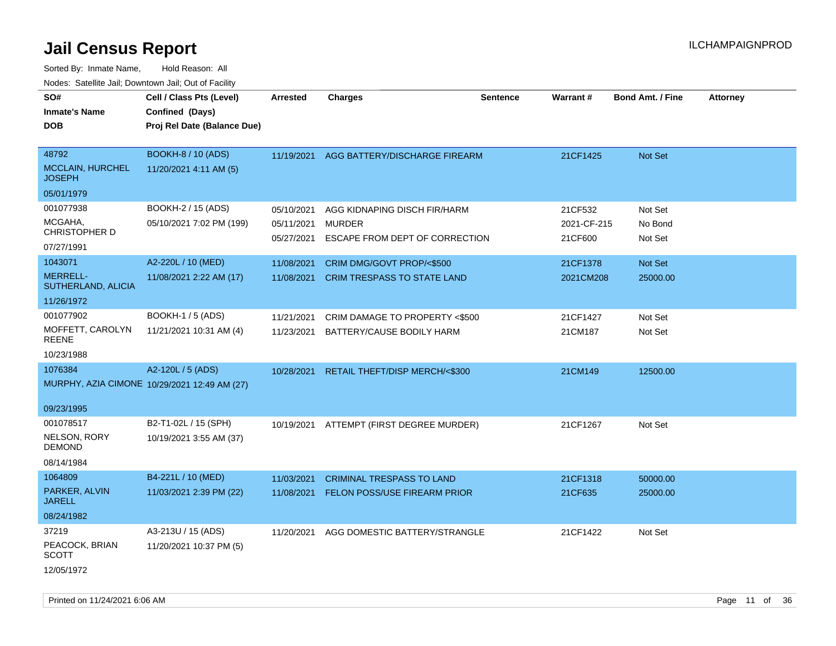| SO#<br><b>Inmate's Name</b><br><b>DOB</b>                      | Cell / Class Pts (Level)<br>Confined (Days)<br>Proj Rel Date (Balance Due) | <b>Arrested</b>                        | <b>Charges</b>                                                                  | <b>Sentence</b> | <b>Warrant#</b>                   | <b>Bond Amt. / Fine</b>       | <b>Attorney</b> |
|----------------------------------------------------------------|----------------------------------------------------------------------------|----------------------------------------|---------------------------------------------------------------------------------|-----------------|-----------------------------------|-------------------------------|-----------------|
| 48792<br><b>MCCLAIN, HURCHEL</b><br><b>JOSEPH</b>              | <b>BOOKH-8 / 10 (ADS)</b><br>11/20/2021 4:11 AM (5)                        | 11/19/2021                             | AGG BATTERY/DISCHARGE FIREARM                                                   |                 | 21CF1425                          | Not Set                       |                 |
| 05/01/1979                                                     |                                                                            |                                        |                                                                                 |                 |                                   |                               |                 |
| 001077938<br>MCGAHA.<br><b>CHRISTOPHER D</b><br>07/27/1991     | BOOKH-2 / 15 (ADS)<br>05/10/2021 7:02 PM (199)                             | 05/10/2021<br>05/11/2021<br>05/27/2021 | AGG KIDNAPING DISCH FIR/HARM<br><b>MURDER</b><br>ESCAPE FROM DEPT OF CORRECTION |                 | 21CF532<br>2021-CF-215<br>21CF600 | Not Set<br>No Bond<br>Not Set |                 |
| 1043071<br><b>MERRELL-</b><br>SUTHERLAND, ALICIA<br>11/26/1972 | A2-220L / 10 (MED)<br>11/08/2021 2:22 AM (17)                              | 11/08/2021<br>11/08/2021               | CRIM DMG/GOVT PROP/<\$500<br><b>CRIM TRESPASS TO STATE LAND</b>                 |                 | 21CF1378<br>2021CM208             | Not Set<br>25000.00           |                 |
| 001077902<br>MOFFETT, CAROLYN<br><b>REENE</b>                  | <b>BOOKH-1 / 5 (ADS)</b><br>11/21/2021 10:31 AM (4)                        | 11/21/2021<br>11/23/2021               | CRIM DAMAGE TO PROPERTY <\$500<br>BATTERY/CAUSE BODILY HARM                     |                 | 21CF1427<br>21CM187               | Not Set<br>Not Set            |                 |
| 10/23/1988<br>1076384<br>09/23/1995                            | A2-120L / 5 (ADS)<br>MURPHY, AZIA CIMONE 10/29/2021 12:49 AM (27)          |                                        | 10/28/2021 RETAIL THEFT/DISP MERCH/<\$300                                       |                 | 21CM149                           | 12500.00                      |                 |
| 001078517<br>NELSON, RORY<br><b>DEMOND</b><br>08/14/1984       | B2-T1-02L / 15 (SPH)<br>10/19/2021 3:55 AM (37)                            |                                        | 10/19/2021 ATTEMPT (FIRST DEGREE MURDER)                                        |                 | 21CF1267                          | Not Set                       |                 |
| 1064809<br>PARKER, ALVIN<br><b>JARELL</b><br>08/24/1982        | B4-221L / 10 (MED)<br>11/03/2021 2:39 PM (22)                              | 11/03/2021<br>11/08/2021               | <b>CRIMINAL TRESPASS TO LAND</b><br>FELON POSS/USE FIREARM PRIOR                |                 | 21CF1318<br>21CF635               | 50000.00<br>25000.00          |                 |
| 37219<br>PEACOCK, BRIAN<br><b>SCOTT</b><br>12/05/1972          | A3-213U / 15 (ADS)<br>11/20/2021 10:37 PM (5)                              | 11/20/2021                             | AGG DOMESTIC BATTERY/STRANGLE                                                   |                 | 21CF1422                          | Not Set                       |                 |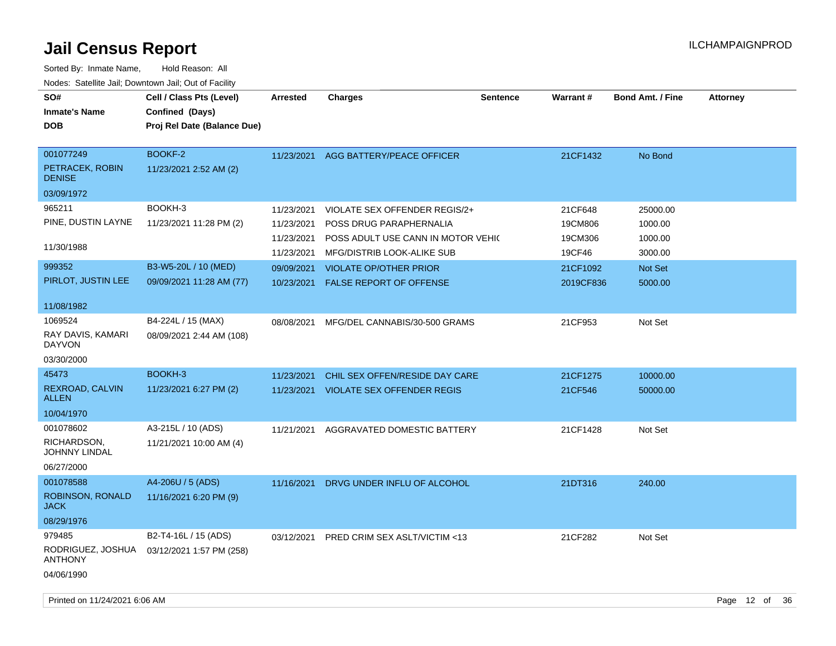| SO#<br><b>Inmate's Name</b><br>DOB                          | Cell / Class Pts (Level)<br>Confined (Days)<br>Proj Rel Date (Balance Due) | <b>Arrested</b> | <b>Charges</b>                     | <b>Sentence</b> | <b>Warrant#</b> | <b>Bond Amt. / Fine</b> | <b>Attorney</b> |
|-------------------------------------------------------------|----------------------------------------------------------------------------|-----------------|------------------------------------|-----------------|-----------------|-------------------------|-----------------|
| 001077249<br>PETRACEK, ROBIN<br><b>DENISE</b>               | BOOKF-2<br>11/23/2021 2:52 AM (2)                                          | 11/23/2021      | AGG BATTERY/PEACE OFFICER          |                 | 21CF1432        | No Bond                 |                 |
| 03/09/1972                                                  |                                                                            |                 |                                    |                 |                 |                         |                 |
| 965211                                                      | BOOKH-3                                                                    | 11/23/2021      | VIOLATE SEX OFFENDER REGIS/2+      |                 | 21CF648         | 25000.00                |                 |
| PINE, DUSTIN LAYNE                                          | 11/23/2021 11:28 PM (2)                                                    | 11/23/2021      | POSS DRUG PARAPHERNALIA            |                 | 19CM806         | 1000.00                 |                 |
|                                                             |                                                                            | 11/23/2021      | POSS ADULT USE CANN IN MOTOR VEHIC |                 | 19CM306         | 1000.00                 |                 |
| 11/30/1988                                                  |                                                                            | 11/23/2021      | MFG/DISTRIB LOOK-ALIKE SUB         |                 | 19CF46          | 3000.00                 |                 |
| 999352                                                      | B3-W5-20L / 10 (MED)                                                       | 09/09/2021      | <b>VIOLATE OP/OTHER PRIOR</b>      |                 | 21CF1092        | Not Set                 |                 |
| PIRLOT, JUSTIN LEE                                          | 09/09/2021 11:28 AM (77)                                                   | 10/23/2021      | <b>FALSE REPORT OF OFFENSE</b>     |                 | 2019CF836       | 5000.00                 |                 |
| 11/08/1982                                                  |                                                                            |                 |                                    |                 |                 |                         |                 |
| 1069524<br>RAY DAVIS, KAMARI<br>DAYVON<br>03/30/2000        | B4-224L / 15 (MAX)<br>08/09/2021 2:44 AM (108)                             | 08/08/2021      | MFG/DEL CANNABIS/30-500 GRAMS      |                 | 21CF953         | Not Set                 |                 |
| 45473                                                       | BOOKH-3                                                                    | 11/23/2021      | CHIL SEX OFFEN/RESIDE DAY CARE     |                 | 21CF1275        | 10000.00                |                 |
| REXROAD, CALVIN<br><b>ALLEN</b>                             | 11/23/2021 6:27 PM (2)                                                     | 11/23/2021      | <b>VIOLATE SEX OFFENDER REGIS</b>  |                 | 21CF546         | 50000.00                |                 |
| 10/04/1970                                                  |                                                                            |                 |                                    |                 |                 |                         |                 |
| 001078602<br>RICHARDSON,<br>JOHNNY LINDAL<br>06/27/2000     | A3-215L / 10 (ADS)<br>11/21/2021 10:00 AM (4)                              | 11/21/2021      | AGGRAVATED DOMESTIC BATTERY        |                 | 21CF1428        | Not Set                 |                 |
| 001078588<br>ROBINSON, RONALD                               | A4-206U / 5 (ADS)<br>11/16/2021 6:20 PM (9)                                | 11/16/2021      | DRVG UNDER INFLU OF ALCOHOL        |                 | 21DT316         | 240.00                  |                 |
| JACK<br>08/29/1976                                          |                                                                            |                 |                                    |                 |                 |                         |                 |
| 979485<br>RODRIGUEZ, JOSHUA<br><b>ANTHONY</b><br>04/06/1990 | B2-T4-16L / 15 (ADS)<br>03/12/2021 1:57 PM (258)                           | 03/12/2021      | PRED CRIM SEX ASLT/VICTIM <13      |                 | 21CF282         | Not Set                 |                 |
|                                                             |                                                                            |                 |                                    |                 |                 |                         |                 |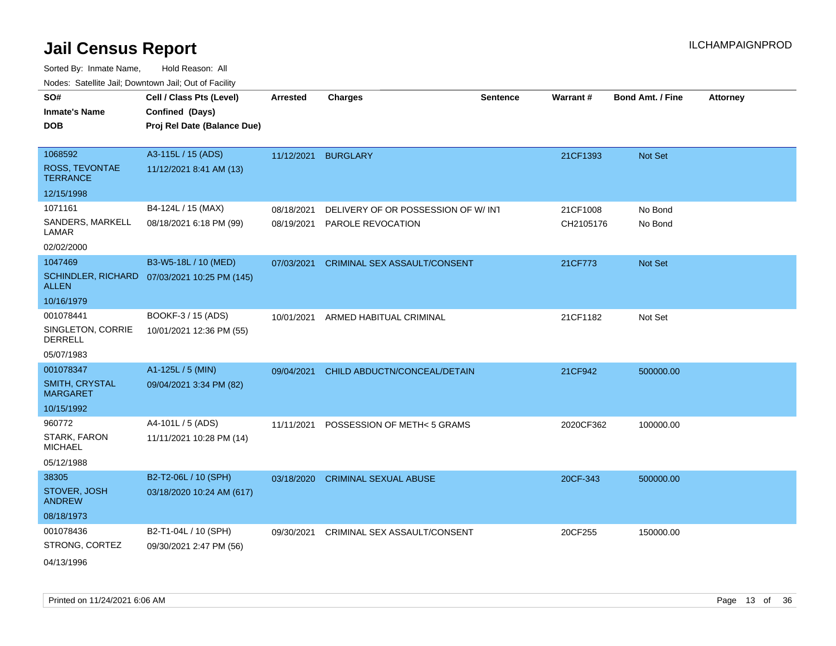| roacs. Catellite Jall, Downtown Jall, Out of Facility |                                                                            |                 |                                     |                 |                 |                         |                 |
|-------------------------------------------------------|----------------------------------------------------------------------------|-----------------|-------------------------------------|-----------------|-----------------|-------------------------|-----------------|
| SO#<br><b>Inmate's Name</b><br><b>DOB</b>             | Cell / Class Pts (Level)<br>Confined (Days)<br>Proj Rel Date (Balance Due) | <b>Arrested</b> | <b>Charges</b>                      | <b>Sentence</b> | <b>Warrant#</b> | <b>Bond Amt. / Fine</b> | <b>Attorney</b> |
|                                                       |                                                                            |                 |                                     |                 |                 |                         |                 |
| 1068592                                               | A3-115L / 15 (ADS)                                                         | 11/12/2021      | <b>BURGLARY</b>                     |                 | 21CF1393        | Not Set                 |                 |
| ROSS, TEVONTAE<br><b>TERRANCE</b>                     | 11/12/2021 8:41 AM (13)                                                    |                 |                                     |                 |                 |                         |                 |
| 12/15/1998                                            |                                                                            |                 |                                     |                 |                 |                         |                 |
| 1071161                                               | B4-124L / 15 (MAX)                                                         | 08/18/2021      | DELIVERY OF OR POSSESSION OF W/ INT |                 | 21CF1008        | No Bond                 |                 |
| SANDERS, MARKELL<br>LAMAR                             | 08/18/2021 6:18 PM (99)                                                    | 08/19/2021      | PAROLE REVOCATION                   |                 | CH2105176       | No Bond                 |                 |
| 02/02/2000                                            |                                                                            |                 |                                     |                 |                 |                         |                 |
| 1047469                                               | B3-W5-18L / 10 (MED)                                                       | 07/03/2021      | CRIMINAL SEX ASSAULT/CONSENT        |                 | 21CF773         | Not Set                 |                 |
| <b>ALLEN</b>                                          | SCHINDLER, RICHARD 07/03/2021 10:25 PM (145)                               |                 |                                     |                 |                 |                         |                 |
| 10/16/1979                                            |                                                                            |                 |                                     |                 |                 |                         |                 |
| 001078441                                             | BOOKF-3 / 15 (ADS)                                                         | 10/01/2021      | ARMED HABITUAL CRIMINAL             |                 | 21CF1182        | Not Set                 |                 |
| SINGLETON, CORRIE<br><b>DERRELL</b>                   | 10/01/2021 12:36 PM (55)                                                   |                 |                                     |                 |                 |                         |                 |
| 05/07/1983                                            |                                                                            |                 |                                     |                 |                 |                         |                 |
| 001078347                                             | A1-125L / 5 (MIN)                                                          | 09/04/2021      | CHILD ABDUCTN/CONCEAL/DETAIN        |                 | 21CF942         | 500000.00               |                 |
| <b>SMITH, CRYSTAL</b><br><b>MARGARET</b>              | 09/04/2021 3:34 PM (82)                                                    |                 |                                     |                 |                 |                         |                 |
| 10/15/1992                                            |                                                                            |                 |                                     |                 |                 |                         |                 |
| 960772                                                | A4-101L / 5 (ADS)                                                          | 11/11/2021      | POSSESSION OF METH< 5 GRAMS         |                 | 2020CF362       | 100000.00               |                 |
| STARK, FARON<br><b>MICHAEL</b>                        | 11/11/2021 10:28 PM (14)                                                   |                 |                                     |                 |                 |                         |                 |
| 05/12/1988                                            |                                                                            |                 |                                     |                 |                 |                         |                 |
| 38305                                                 | B2-T2-06L / 10 (SPH)                                                       | 03/18/2020      | <b>CRIMINAL SEXUAL ABUSE</b>        |                 | 20CF-343        | 500000.00               |                 |
| STOVER, JOSH<br><b>ANDREW</b>                         | 03/18/2020 10:24 AM (617)                                                  |                 |                                     |                 |                 |                         |                 |
| 08/18/1973                                            |                                                                            |                 |                                     |                 |                 |                         |                 |
| 001078436                                             | B2-T1-04L / 10 (SPH)                                                       | 09/30/2021      | CRIMINAL SEX ASSAULT/CONSENT        |                 | 20CF255         | 150000.00               |                 |
| STRONG, CORTEZ                                        | 09/30/2021 2:47 PM (56)                                                    |                 |                                     |                 |                 |                         |                 |
| 04/13/1996                                            |                                                                            |                 |                                     |                 |                 |                         |                 |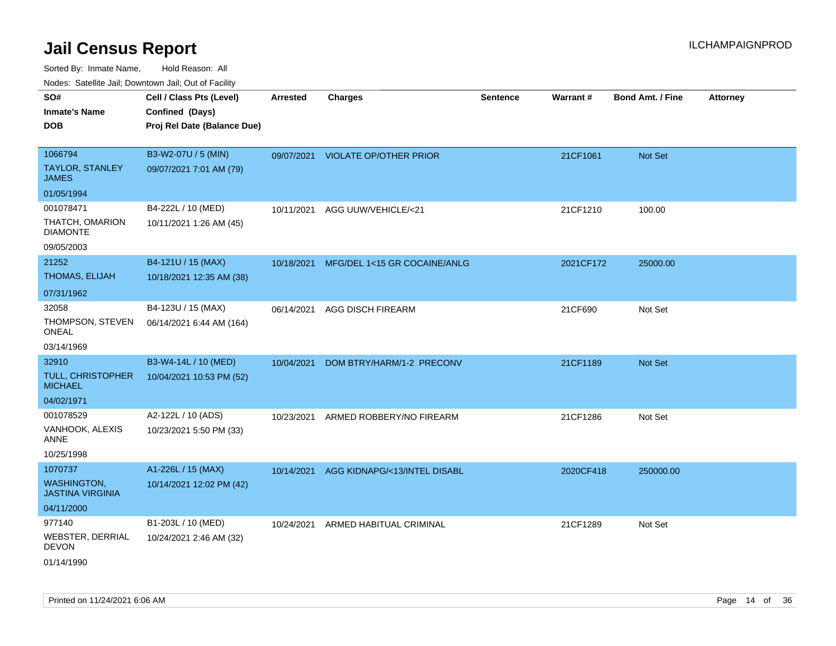| SO#<br><b>Inmate's Name</b><br><b>DOB</b>                       | Cell / Class Pts (Level)<br>Confined (Days)<br>Proj Rel Date (Balance Due) | Arrested   | <b>Charges</b>                    | <b>Sentence</b> | Warrant#  | <b>Bond Amt. / Fine</b> | <b>Attorney</b> |
|-----------------------------------------------------------------|----------------------------------------------------------------------------|------------|-----------------------------------|-----------------|-----------|-------------------------|-----------------|
| 1066794<br><b>TAYLOR, STANLEY</b><br><b>JAMES</b>               | B3-W2-07U / 5 (MIN)<br>09/07/2021 7:01 AM (79)                             |            | 09/07/2021 VIOLATE OP/OTHER PRIOR |                 | 21CF1061  | Not Set                 |                 |
| 01/05/1994                                                      |                                                                            |            |                                   |                 |           |                         |                 |
| 001078471<br>THATCH, OMARION<br><b>DIAMONTE</b><br>09/05/2003   | B4-222L / 10 (MED)<br>10/11/2021 1:26 AM (45)                              | 10/11/2021 | AGG UUW/VEHICLE/<21               |                 | 21CF1210  | 100.00                  |                 |
| 21252                                                           | B4-121U / 15 (MAX)                                                         | 10/18/2021 | MFG/DEL 1<15 GR COCAINE/ANLG      |                 | 2021CF172 | 25000.00                |                 |
| THOMAS, ELIJAH                                                  | 10/18/2021 12:35 AM (38)                                                   |            |                                   |                 |           |                         |                 |
| 07/31/1962                                                      |                                                                            |            |                                   |                 |           |                         |                 |
| 32058<br>THOMPSON, STEVEN<br>ONEAL                              | B4-123U / 15 (MAX)<br>06/14/2021 6:44 AM (164)                             | 06/14/2021 | <b>AGG DISCH FIREARM</b>          |                 | 21CF690   | Not Set                 |                 |
| 03/14/1969                                                      |                                                                            |            |                                   |                 |           |                         |                 |
| 32910<br><b>TULL, CHRISTOPHER</b><br><b>MICHAEL</b>             | B3-W4-14L / 10 (MED)<br>10/04/2021 10:53 PM (52)                           | 10/04/2021 | DOM BTRY/HARM/1-2 PRECONV         |                 | 21CF1189  | <b>Not Set</b>          |                 |
| 04/02/1971                                                      |                                                                            |            |                                   |                 |           |                         |                 |
| 001078529<br>VANHOOK, ALEXIS<br><b>ANNE</b><br>10/25/1998       | A2-122L / 10 (ADS)<br>10/23/2021 5:50 PM (33)                              | 10/23/2021 | ARMED ROBBERY/NO FIREARM          |                 | 21CF1286  | Not Set                 |                 |
| 1070737                                                         | A1-226L / 15 (MAX)                                                         | 10/14/2021 | AGG KIDNAPG/<13/INTEL DISABL      |                 | 2020CF418 | 250000.00               |                 |
| <b>WASHINGTON,</b><br><b>JASTINA VIRGINIA</b>                   | 10/14/2021 12:02 PM (42)                                                   |            |                                   |                 |           |                         |                 |
| 04/11/2000                                                      |                                                                            |            |                                   |                 |           |                         |                 |
| 977140<br><b>WEBSTER, DERRIAL</b><br><b>DEVON</b><br>01/14/1990 | B1-203L / 10 (MED)<br>10/24/2021 2:46 AM (32)                              | 10/24/2021 | ARMED HABITUAL CRIMINAL           |                 | 21CF1289  | Not Set                 |                 |
|                                                                 |                                                                            |            |                                   |                 |           |                         |                 |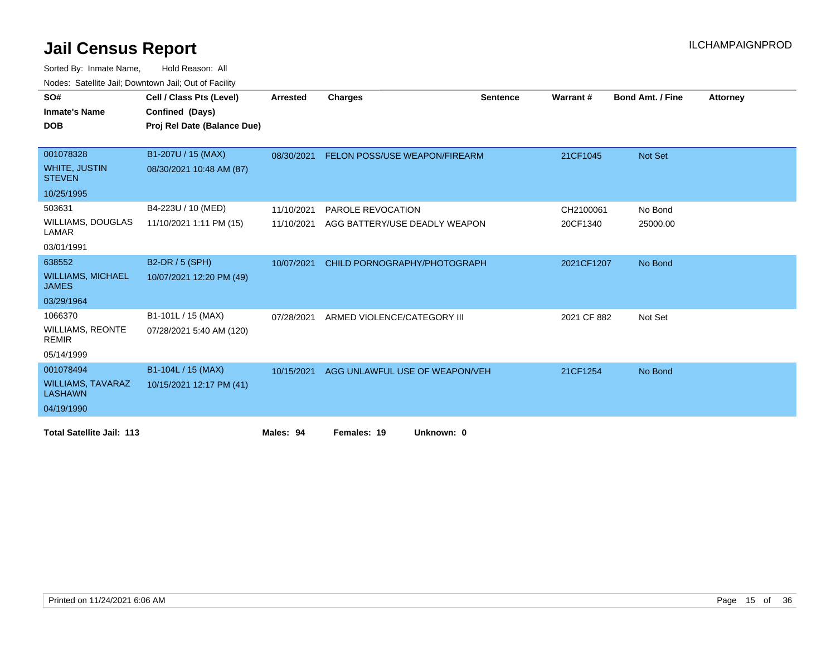| SO#                                        | Cell / Class Pts (Level)    | <b>Arrested</b> | <b>Charges</b>                       | <b>Sentence</b> | Warrant#    | <b>Bond Amt. / Fine</b> | <b>Attorney</b> |
|--------------------------------------------|-----------------------------|-----------------|--------------------------------------|-----------------|-------------|-------------------------|-----------------|
| <b>Inmate's Name</b>                       | Confined (Days)             |                 |                                      |                 |             |                         |                 |
|                                            |                             |                 |                                      |                 |             |                         |                 |
| <b>DOB</b>                                 | Proj Rel Date (Balance Due) |                 |                                      |                 |             |                         |                 |
|                                            |                             |                 |                                      |                 |             |                         |                 |
| 001078328                                  | B1-207U / 15 (MAX)          | 08/30/2021      | <b>FELON POSS/USE WEAPON/FIREARM</b> |                 | 21CF1045    | Not Set                 |                 |
| <b>WHITE, JUSTIN</b><br><b>STEVEN</b>      | 08/30/2021 10:48 AM (87)    |                 |                                      |                 |             |                         |                 |
| 10/25/1995                                 |                             |                 |                                      |                 |             |                         |                 |
| 503631                                     | B4-223U / 10 (MED)          | 11/10/2021      | PAROLE REVOCATION                    |                 | CH2100061   | No Bond                 |                 |
| <b>WILLIAMS, DOUGLAS</b><br>LAMAR          | 11/10/2021 1:11 PM (15)     | 11/10/2021      | AGG BATTERY/USE DEADLY WEAPON        |                 | 20CF1340    | 25000.00                |                 |
| 03/01/1991                                 |                             |                 |                                      |                 |             |                         |                 |
| 638552                                     | B2-DR / 5 (SPH)             | 10/07/2021      | CHILD PORNOGRAPHY/PHOTOGRAPH         |                 | 2021CF1207  | No Bond                 |                 |
| <b>WILLIAMS, MICHAEL</b><br><b>JAMES</b>   | 10/07/2021 12:20 PM (49)    |                 |                                      |                 |             |                         |                 |
| 03/29/1964                                 |                             |                 |                                      |                 |             |                         |                 |
| 1066370                                    | B1-101L / 15 (MAX)          | 07/28/2021      | ARMED VIOLENCE/CATEGORY III          |                 | 2021 CF 882 | Not Set                 |                 |
| <b>WILLIAMS, REONTE</b><br><b>REMIR</b>    | 07/28/2021 5:40 AM (120)    |                 |                                      |                 |             |                         |                 |
| 05/14/1999                                 |                             |                 |                                      |                 |             |                         |                 |
| 001078494                                  | B1-104L / 15 (MAX)          | 10/15/2021      | AGG UNLAWFUL USE OF WEAPON/VEH       |                 | 21CF1254    | No Bond                 |                 |
| <b>WILLIAMS, TAVARAZ</b><br><b>LASHAWN</b> | 10/15/2021 12:17 PM (41)    |                 |                                      |                 |             |                         |                 |
| 04/19/1990                                 |                             |                 |                                      |                 |             |                         |                 |
| <b>Total Satellite Jail: 113</b>           |                             | Males: 94       | Females: 19<br>Unknown: 0            |                 |             |                         |                 |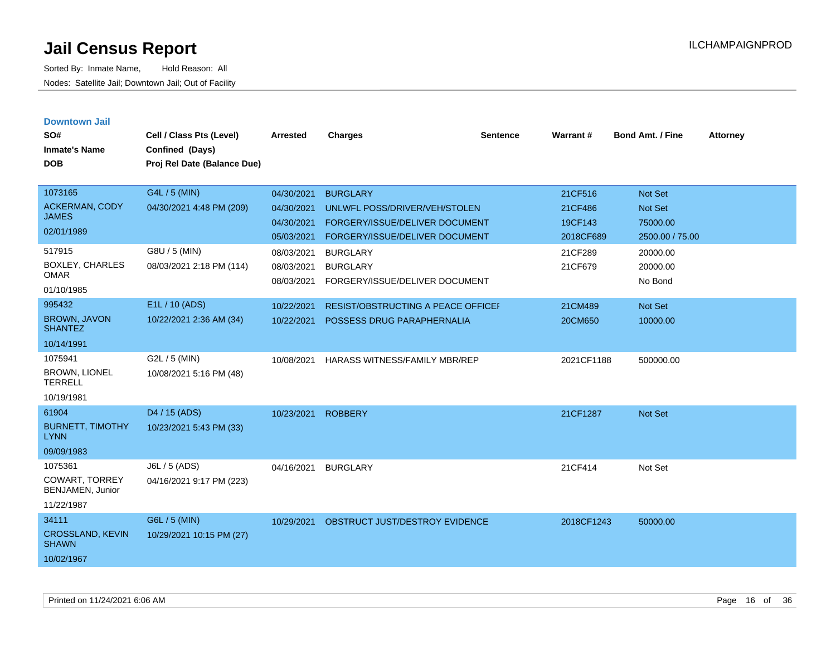| <b>Downtown Jail</b><br>SO#<br><b>Inmate's Name</b><br><b>DOB</b>  | Cell / Class Pts (Level)<br>Confined (Days)<br>Proj Rel Date (Balance Due) | <b>Arrested</b>                                      | <b>Charges</b>                                                                                                       | <b>Sentence</b> | <b>Warrant#</b>                            | <b>Bond Amt. / Fine</b>                                  | <b>Attorney</b> |
|--------------------------------------------------------------------|----------------------------------------------------------------------------|------------------------------------------------------|----------------------------------------------------------------------------------------------------------------------|-----------------|--------------------------------------------|----------------------------------------------------------|-----------------|
| 1073165<br>ACKERMAN, CODY<br><b>JAMES</b><br>02/01/1989            | G4L / 5 (MIN)<br>04/30/2021 4:48 PM (209)                                  | 04/30/2021<br>04/30/2021<br>04/30/2021<br>05/03/2021 | <b>BURGLARY</b><br>UNLWFL POSS/DRIVER/VEH/STOLEN<br>FORGERY/ISSUE/DELIVER DOCUMENT<br>FORGERY/ISSUE/DELIVER DOCUMENT |                 | 21CF516<br>21CF486<br>19CF143<br>2018CF689 | <b>Not Set</b><br>Not Set<br>75000.00<br>2500.00 / 75.00 |                 |
| 517915<br><b>BOXLEY, CHARLES</b><br><b>OMAR</b><br>01/10/1985      | G8U / 5 (MIN)<br>08/03/2021 2:18 PM (114)                                  | 08/03/2021<br>08/03/2021<br>08/03/2021               | <b>BURGLARY</b><br><b>BURGLARY</b><br>FORGERY/ISSUE/DELIVER DOCUMENT                                                 |                 | 21CF289<br>21CF679                         | 20000.00<br>20000.00<br>No Bond                          |                 |
| 995432<br><b>BROWN, JAVON</b><br><b>SHANTEZ</b><br>10/14/1991      | E1L / 10 (ADS)<br>10/22/2021 2:36 AM (34)                                  | 10/22/2021<br>10/22/2021                             | RESIST/OBSTRUCTING A PEACE OFFICEF<br>POSSESS DRUG PARAPHERNALIA                                                     |                 | 21CM489<br>20CM650                         | Not Set<br>10000.00                                      |                 |
| 1075941<br><b>BROWN, LIONEL</b><br><b>TERRELL</b><br>10/19/1981    | G2L / 5 (MIN)<br>10/08/2021 5:16 PM (48)                                   | 10/08/2021                                           | <b>HARASS WITNESS/FAMILY MBR/REP</b>                                                                                 |                 | 2021CF1188                                 | 500000.00                                                |                 |
| 61904<br><b>BURNETT, TIMOTHY</b><br><b>LYNN</b><br>09/09/1983      | D4 / 15 (ADS)<br>10/23/2021 5:43 PM (33)                                   | 10/23/2021                                           | <b>ROBBERY</b>                                                                                                       |                 | 21CF1287                                   | Not Set                                                  |                 |
| 1075361<br><b>COWART, TORREY</b><br>BENJAMEN, Junior<br>11/22/1987 | J6L / 5 (ADS)<br>04/16/2021 9:17 PM (223)                                  | 04/16/2021                                           | <b>BURGLARY</b>                                                                                                      |                 | 21CF414                                    | Not Set                                                  |                 |
| 34111<br><b>CROSSLAND, KEVIN</b><br><b>SHAWN</b><br>10/02/1967     | G6L / 5 (MIN)<br>10/29/2021 10:15 PM (27)                                  | 10/29/2021                                           | OBSTRUCT JUST/DESTROY EVIDENCE                                                                                       |                 | 2018CF1243                                 | 50000.00                                                 |                 |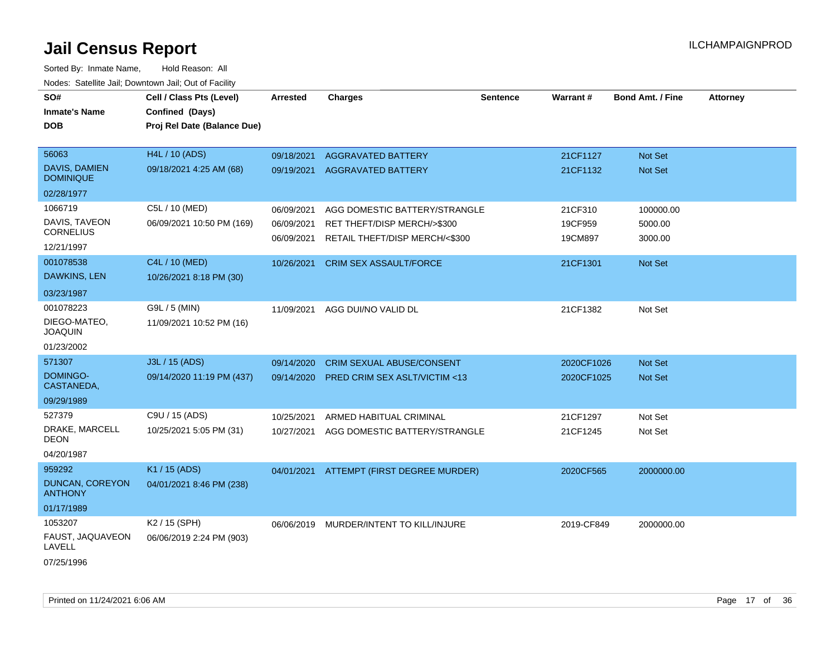Sorted By: Inmate Name, Hold Reason: All Nodes: Satellite Jail; Downtown Jail; Out of Facility

| SO#<br><b>Inmate's Name</b>              | Cell / Class Pts (Level)<br>Confined (Days) | <b>Arrested</b> | <b>Charges</b>                          | <b>Sentence</b> | Warrant#   | <b>Bond Amt. / Fine</b> | <b>Attorney</b> |
|------------------------------------------|---------------------------------------------|-----------------|-----------------------------------------|-----------------|------------|-------------------------|-----------------|
| <b>DOB</b>                               | Proj Rel Date (Balance Due)                 |                 |                                         |                 |            |                         |                 |
| 56063                                    | H4L / 10 (ADS)                              | 09/18/2021      | <b>AGGRAVATED BATTERY</b>               |                 | 21CF1127   | <b>Not Set</b>          |                 |
| <b>DAVIS, DAMIEN</b><br><b>DOMINIQUE</b> | 09/18/2021 4:25 AM (68)                     | 09/19/2021      | <b>AGGRAVATED BATTERY</b>               |                 | 21CF1132   | Not Set                 |                 |
| 02/28/1977                               |                                             |                 |                                         |                 |            |                         |                 |
| 1066719                                  | C5L / 10 (MED)                              | 06/09/2021      | AGG DOMESTIC BATTERY/STRANGLE           |                 | 21CF310    | 100000.00               |                 |
| DAVIS, TAVEON                            | 06/09/2021 10:50 PM (169)                   | 06/09/2021      | RET THEFT/DISP MERCH/>\$300             |                 | 19CF959    | 5000.00                 |                 |
| <b>CORNELIUS</b><br>12/21/1997           |                                             | 06/09/2021      | RETAIL THEFT/DISP MERCH/<\$300          |                 | 19CM897    | 3000.00                 |                 |
| 001078538                                | C4L / 10 (MED)                              | 10/26/2021      | <b>CRIM SEX ASSAULT/FORCE</b>           |                 | 21CF1301   | <b>Not Set</b>          |                 |
| DAWKINS, LEN                             | 10/26/2021 8:18 PM (30)                     |                 |                                         |                 |            |                         |                 |
| 03/23/1987                               |                                             |                 |                                         |                 |            |                         |                 |
| 001078223                                | G9L / 5 (MIN)                               | 11/09/2021      | AGG DUI/NO VALID DL                     |                 | 21CF1382   | Not Set                 |                 |
| DIEGO-MATEO,<br><b>JOAQUIN</b>           | 11/09/2021 10:52 PM (16)                    |                 |                                         |                 |            |                         |                 |
| 01/23/2002                               |                                             |                 |                                         |                 |            |                         |                 |
| 571307                                   | J3L / 15 (ADS)                              | 09/14/2020      | <b>CRIM SEXUAL ABUSE/CONSENT</b>        |                 | 2020CF1026 | <b>Not Set</b>          |                 |
| DOMINGO-<br>CASTANEDA,                   | 09/14/2020 11:19 PM (437)                   | 09/14/2020      | <b>PRED CRIM SEX ASLT/VICTIM &lt;13</b> |                 | 2020CF1025 | <b>Not Set</b>          |                 |
| 09/29/1989                               |                                             |                 |                                         |                 |            |                         |                 |
| 527379                                   | C9U / 15 (ADS)                              | 10/25/2021      | ARMED HABITUAL CRIMINAL                 |                 | 21CF1297   | Not Set                 |                 |
| DRAKE, MARCELL<br>DEON                   | 10/25/2021 5:05 PM (31)                     | 10/27/2021      | AGG DOMESTIC BATTERY/STRANGLE           |                 | 21CF1245   | Not Set                 |                 |
| 04/20/1987                               |                                             |                 |                                         |                 |            |                         |                 |
| 959292                                   | K1 / 15 (ADS)                               | 04/01/2021      | ATTEMPT (FIRST DEGREE MURDER)           |                 | 2020CF565  | 2000000.00              |                 |
| <b>DUNCAN, COREYON</b><br><b>ANTHONY</b> | 04/01/2021 8:46 PM (238)                    |                 |                                         |                 |            |                         |                 |
| 01/17/1989                               |                                             |                 |                                         |                 |            |                         |                 |
| 1053207                                  | K <sub>2</sub> / 15 (SPH)                   | 06/06/2019      | MURDER/INTENT TO KILL/INJURE            |                 | 2019-CF849 | 2000000.00              |                 |
| FAUST, JAQUAVEON<br>LAVELL               | 06/06/2019 2:24 PM (903)                    |                 |                                         |                 |            |                         |                 |
|                                          |                                             |                 |                                         |                 |            |                         |                 |

07/25/1996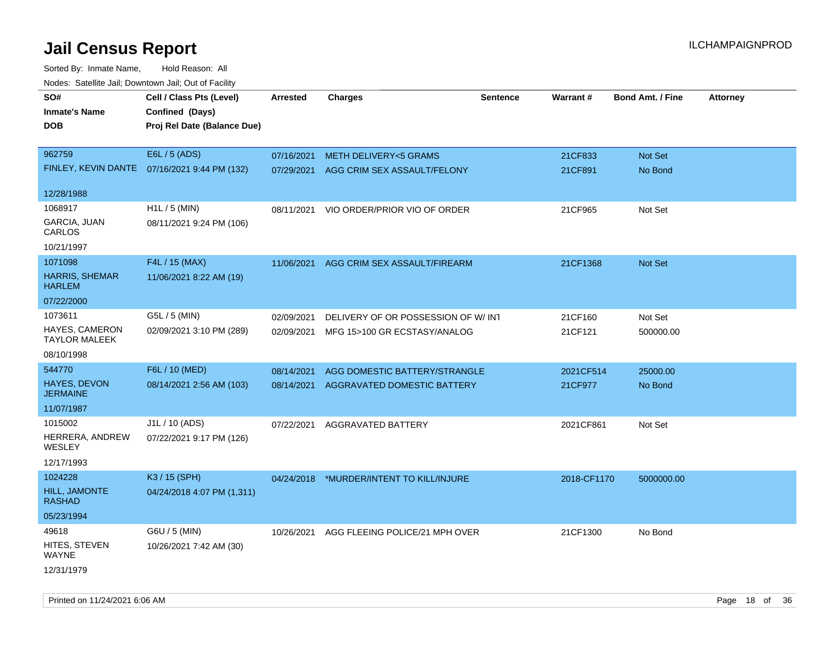| rougs. Calcinic Jan, Downtown Jan, Out of Facility |                                              |                 |                                          |                 |             |                         |                 |
|----------------------------------------------------|----------------------------------------------|-----------------|------------------------------------------|-----------------|-------------|-------------------------|-----------------|
| SO#                                                | Cell / Class Pts (Level)                     | <b>Arrested</b> | <b>Charges</b>                           | <b>Sentence</b> | Warrant#    | <b>Bond Amt. / Fine</b> | <b>Attorney</b> |
| <b>Inmate's Name</b>                               | Confined (Days)                              |                 |                                          |                 |             |                         |                 |
| <b>DOB</b>                                         | Proj Rel Date (Balance Due)                  |                 |                                          |                 |             |                         |                 |
|                                                    |                                              |                 |                                          |                 |             |                         |                 |
| 962759                                             | E6L / 5 (ADS)                                | 07/16/2021      | <b>METH DELIVERY&lt;5 GRAMS</b>          |                 | 21CF833     | Not Set                 |                 |
|                                                    | FINLEY, KEVIN DANTE 07/16/2021 9:44 PM (132) | 07/29/2021      | AGG CRIM SEX ASSAULT/FELONY              |                 | 21CF891     | No Bond                 |                 |
| 12/28/1988                                         |                                              |                 |                                          |                 |             |                         |                 |
| 1068917                                            | H1L / 5 (MIN)                                | 08/11/2021      | VIO ORDER/PRIOR VIO OF ORDER             |                 | 21CF965     | Not Set                 |                 |
| GARCIA, JUAN<br>CARLOS                             | 08/11/2021 9:24 PM (106)                     |                 |                                          |                 |             |                         |                 |
| 10/21/1997                                         |                                              |                 |                                          |                 |             |                         |                 |
| 1071098                                            | F4L / 15 (MAX)                               | 11/06/2021      | AGG CRIM SEX ASSAULT/FIREARM             |                 | 21CF1368    | Not Set                 |                 |
| <b>HARRIS, SHEMAR</b><br><b>HARLEM</b>             | 11/06/2021 8:22 AM (19)                      |                 |                                          |                 |             |                         |                 |
| 07/22/2000                                         |                                              |                 |                                          |                 |             |                         |                 |
| 1073611                                            | G5L / 5 (MIN)                                | 02/09/2021      | DELIVERY OF OR POSSESSION OF W/INT       |                 | 21CF160     | Not Set                 |                 |
| <b>HAYES, CAMERON</b><br><b>TAYLOR MALEEK</b>      | 02/09/2021 3:10 PM (289)                     | 02/09/2021      | MFG 15>100 GR ECSTASY/ANALOG             |                 | 21CF121     | 500000.00               |                 |
| 08/10/1998                                         |                                              |                 |                                          |                 |             |                         |                 |
| 544770                                             | F6L / 10 (MED)                               | 08/14/2021      | AGG DOMESTIC BATTERY/STRANGLE            |                 | 2021CF514   | 25000.00                |                 |
| <b>HAYES, DEVON</b><br><b>JERMAINE</b>             | 08/14/2021 2:56 AM (103)                     | 08/14/2021      | AGGRAVATED DOMESTIC BATTERY              |                 | 21CF977     | No Bond                 |                 |
| 11/07/1987                                         |                                              |                 |                                          |                 |             |                         |                 |
| 1015002                                            | J1L / 10 (ADS)                               | 07/22/2021      | AGGRAVATED BATTERY                       |                 | 2021CF861   | Not Set                 |                 |
| HERRERA, ANDREW<br>WESLEY                          | 07/22/2021 9:17 PM (126)                     |                 |                                          |                 |             |                         |                 |
| 12/17/1993                                         |                                              |                 |                                          |                 |             |                         |                 |
| 1024228                                            | K3 / 15 (SPH)                                |                 | 04/24/2018 *MURDER/INTENT TO KILL/INJURE |                 | 2018-CF1170 | 5000000.00              |                 |
| HILL, JAMONTE<br><b>RASHAD</b>                     | 04/24/2018 4:07 PM (1,311)                   |                 |                                          |                 |             |                         |                 |
| 05/23/1994                                         |                                              |                 |                                          |                 |             |                         |                 |
| 49618                                              | G6U / 5 (MIN)                                | 10/26/2021      | AGG FLEEING POLICE/21 MPH OVER           |                 | 21CF1300    | No Bond                 |                 |
| HITES, STEVEN<br>WAYNE                             | 10/26/2021 7:42 AM (30)                      |                 |                                          |                 |             |                         |                 |
| 12/31/1979                                         |                                              |                 |                                          |                 |             |                         |                 |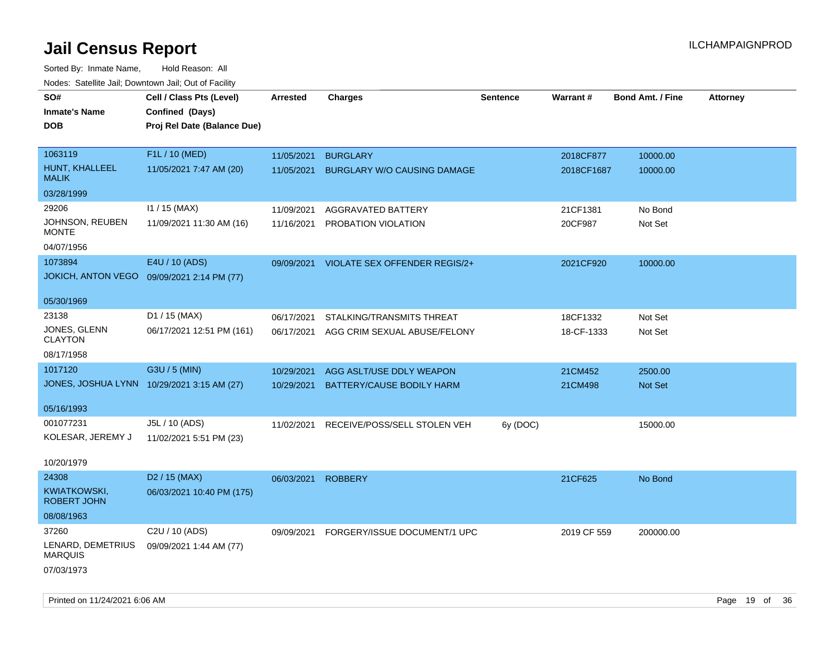Sorted By: Inmate Name, Hold Reason: All Nodes: Satellite Jail; Downtown Jail; Out of Facility

| Nuuts. Saltiille Jall, Downlown Jall, Oul of Facility |                                            |                 |                                    |                 |             |                         |                 |
|-------------------------------------------------------|--------------------------------------------|-----------------|------------------------------------|-----------------|-------------|-------------------------|-----------------|
| SO#                                                   | Cell / Class Pts (Level)                   | <b>Arrested</b> | <b>Charges</b>                     | <b>Sentence</b> | Warrant#    | <b>Bond Amt. / Fine</b> | <b>Attorney</b> |
| <b>Inmate's Name</b>                                  | Confined (Days)                            |                 |                                    |                 |             |                         |                 |
| <b>DOB</b>                                            | Proj Rel Date (Balance Due)                |                 |                                    |                 |             |                         |                 |
|                                                       |                                            |                 |                                    |                 |             |                         |                 |
| 1063119                                               | F1L / 10 (MED)                             | 11/05/2021      | <b>BURGLARY</b>                    |                 | 2018CF877   | 10000.00                |                 |
| HUNT, KHALLEEL<br><b>MALIK</b>                        | 11/05/2021 7:47 AM (20)                    | 11/05/2021      | <b>BURGLARY W/O CAUSING DAMAGE</b> |                 | 2018CF1687  | 10000.00                |                 |
| 03/28/1999                                            |                                            |                 |                                    |                 |             |                         |                 |
| 29206                                                 | $11 / 15$ (MAX)                            | 11/09/2021      | AGGRAVATED BATTERY                 |                 | 21CF1381    | No Bond                 |                 |
| JOHNSON, REUBEN<br><b>MONTE</b>                       | 11/09/2021 11:30 AM (16)                   | 11/16/2021      | PROBATION VIOLATION                |                 | 20CF987     | Not Set                 |                 |
| 04/07/1956                                            |                                            |                 |                                    |                 |             |                         |                 |
| 1073894                                               | E4U / 10 (ADS)                             | 09/09/2021      | VIOLATE SEX OFFENDER REGIS/2+      |                 | 2021CF920   | 10000.00                |                 |
| <b>JOKICH, ANTON VEGO</b>                             | 09/09/2021 2:14 PM (77)                    |                 |                                    |                 |             |                         |                 |
|                                                       |                                            |                 |                                    |                 |             |                         |                 |
| 05/30/1969                                            |                                            |                 |                                    |                 |             |                         |                 |
| 23138                                                 | D1 / 15 (MAX)                              | 06/17/2021      | STALKING/TRANSMITS THREAT          |                 | 18CF1332    | Not Set                 |                 |
| JONES, GLENN                                          | 06/17/2021 12:51 PM (161)                  | 06/17/2021      | AGG CRIM SEXUAL ABUSE/FELONY       |                 | 18-CF-1333  | Not Set                 |                 |
| <b>CLAYTON</b>                                        |                                            |                 |                                    |                 |             |                         |                 |
| 08/17/1958                                            |                                            |                 |                                    |                 |             |                         |                 |
| 1017120                                               | G3U / 5 (MIN)                              | 10/29/2021      | AGG ASLT/USE DDLY WEAPON           |                 | 21CM452     | 2500.00                 |                 |
|                                                       | JONES, JOSHUA LYNN 10/29/2021 3:15 AM (27) | 10/29/2021      | BATTERY/CAUSE BODILY HARM          |                 | 21CM498     | Not Set                 |                 |
| 05/16/1993                                            |                                            |                 |                                    |                 |             |                         |                 |
| 001077231                                             | J5L / 10 (ADS)                             | 11/02/2021      | RECEIVE/POSS/SELL STOLEN VEH       | 6y (DOC)        |             | 15000.00                |                 |
| KOLESAR, JEREMY J                                     | 11/02/2021 5:51 PM (23)                    |                 |                                    |                 |             |                         |                 |
|                                                       |                                            |                 |                                    |                 |             |                         |                 |
| 10/20/1979                                            |                                            |                 |                                    |                 |             |                         |                 |
| 24308                                                 | D <sub>2</sub> / 15 (MAX)                  | 06/03/2021      | <b>ROBBERY</b>                     |                 | 21CF625     | No Bond                 |                 |
| KWIATKOWSKI,<br><b>ROBERT JOHN</b>                    | 06/03/2021 10:40 PM (175)                  |                 |                                    |                 |             |                         |                 |
| 08/08/1963                                            |                                            |                 |                                    |                 |             |                         |                 |
| 37260                                                 | C2U / 10 (ADS)                             | 09/09/2021      | FORGERY/ISSUE DOCUMENT/1 UPC       |                 | 2019 CF 559 | 200000.00               |                 |
| LENARD, DEMETRIUS<br><b>MARQUIS</b>                   | 09/09/2021 1:44 AM (77)                    |                 |                                    |                 |             |                         |                 |
| 07/03/1973                                            |                                            |                 |                                    |                 |             |                         |                 |

Printed on 11/24/2021 6:06 AM Page 19 of 36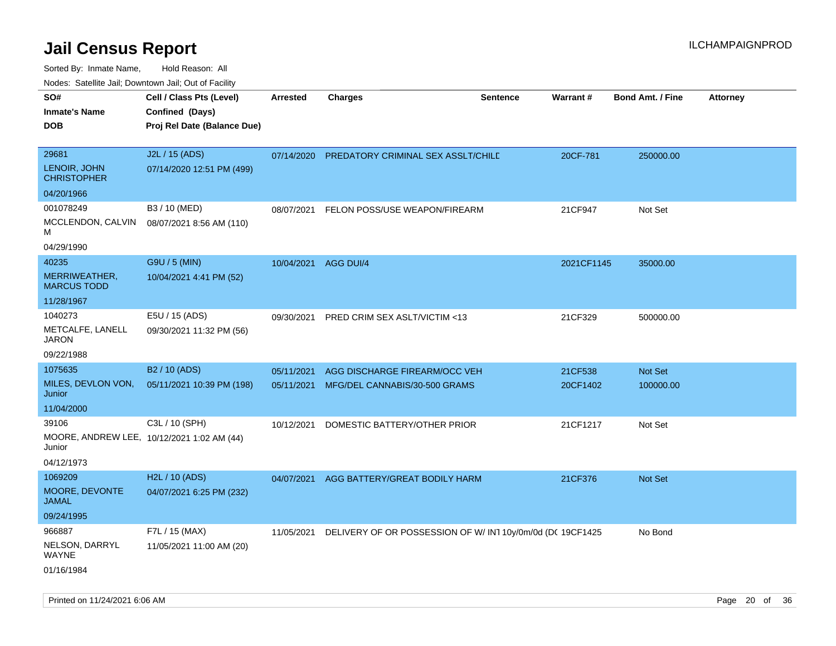Sorted By: Inmate Name, Hold Reason: All

|  | Nodes: Satellite Jail; Downtown Jail; Out of Facility |  |  |  |
|--|-------------------------------------------------------|--|--|--|
|--|-------------------------------------------------------|--|--|--|

| SO#<br><b>Inmate's Name</b><br><b>DOB</b>                  | Cell / Class Pts (Level)<br>Confined (Days)<br>Proj Rel Date (Balance Due) | <b>Arrested</b>          | <b>Charges</b>                                                 | <b>Sentence</b> | <b>Warrant#</b>     | <b>Bond Amt. / Fine</b> | <b>Attorney</b> |
|------------------------------------------------------------|----------------------------------------------------------------------------|--------------------------|----------------------------------------------------------------|-----------------|---------------------|-------------------------|-----------------|
| 29681<br>LENOIR, JOHN<br><b>CHRISTOPHER</b><br>04/20/1966  | J2L / 15 (ADS)<br>07/14/2020 12:51 PM (499)                                | 07/14/2020               | PREDATORY CRIMINAL SEX ASSLT/CHILE                             |                 | 20CF-781            | 250000.00               |                 |
| 001078249<br>MCCLENDON, CALVIN<br>м<br>04/29/1990          | B3 / 10 (MED)<br>08/07/2021 8:56 AM (110)                                  | 08/07/2021               | FELON POSS/USE WEAPON/FIREARM                                  |                 | 21CF947             | Not Set                 |                 |
| 40235<br>MERRIWEATHER,<br><b>MARCUS TODD</b><br>11/28/1967 | G9U / 5 (MIN)<br>10/04/2021 4:41 PM (52)                                   | 10/04/2021               | AGG DUI/4                                                      |                 | 2021CF1145          | 35000.00                |                 |
| 1040273<br>METCALFE, LANELL<br><b>JARON</b><br>09/22/1988  | E5U / 15 (ADS)<br>09/30/2021 11:32 PM (56)                                 | 09/30/2021               | PRED CRIM SEX ASLT/VICTIM <13                                  |                 | 21CF329             | 500000.00               |                 |
| 1075635<br>MILES, DEVLON VON,<br>Junior<br>11/04/2000      | B2 / 10 (ADS)<br>05/11/2021 10:39 PM (198)                                 | 05/11/2021<br>05/11/2021 | AGG DISCHARGE FIREARM/OCC VEH<br>MFG/DEL CANNABIS/30-500 GRAMS |                 | 21CF538<br>20CF1402 | Not Set<br>100000.00    |                 |
| 39106<br>Junior<br>04/12/1973                              | C3L / 10 (SPH)<br>MOORE, ANDREW LEE, 10/12/2021 1:02 AM (44)               | 10/12/2021               | DOMESTIC BATTERY/OTHER PRIOR                                   |                 | 21CF1217            | Not Set                 |                 |
| 1069209<br>MOORE, DEVONTE<br><b>JAMAL</b><br>09/24/1995    | H2L / 10 (ADS)<br>04/07/2021 6:25 PM (232)                                 | 04/07/2021               | AGG BATTERY/GREAT BODILY HARM                                  |                 | 21CF376             | Not Set                 |                 |
| 966887<br>NELSON, DARRYL<br><b>WAYNE</b><br>01/16/1984     | F7L / 15 (MAX)<br>11/05/2021 11:00 AM (20)                                 | 11/05/2021               | DELIVERY OF OR POSSESSION OF W/IN110y/0m/0d (DC 19CF1425       |                 |                     | No Bond                 |                 |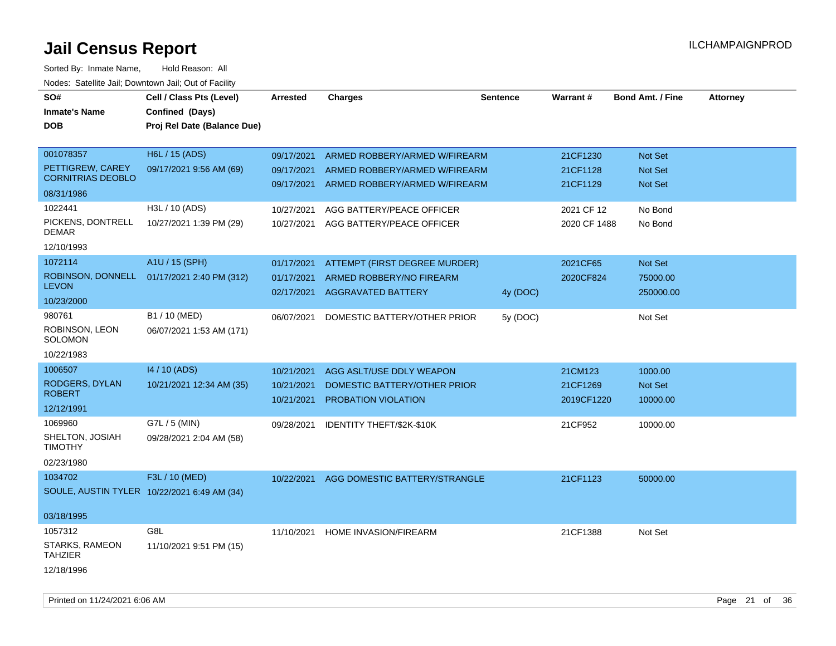| SO#<br><b>Inmate's Name</b><br><b>DOB</b>                 | Cell / Class Pts (Level)<br>Confined (Days)<br>Proj Rel Date (Balance Due) | <b>Arrested</b>                        | <b>Charges</b>                                                                         | <b>Sentence</b> | <b>Warrant#</b>        | <b>Bond Amt. / Fine</b>          | <b>Attorney</b> |
|-----------------------------------------------------------|----------------------------------------------------------------------------|----------------------------------------|----------------------------------------------------------------------------------------|-----------------|------------------------|----------------------------------|-----------------|
| 001078357<br>PETTIGREW, CAREY<br><b>CORNITRIAS DEOBLO</b> | H6L / 15 (ADS)<br>09/17/2021 9:56 AM (69)                                  | 09/17/2021<br>09/17/2021               | ARMED ROBBERY/ARMED W/FIREARM<br>ARMED ROBBERY/ARMED W/FIREARM                         |                 | 21CF1230<br>21CF1128   | <b>Not Set</b><br><b>Not Set</b> |                 |
| 08/31/1986                                                |                                                                            | 09/17/2021                             | ARMED ROBBERY/ARMED W/FIREARM                                                          |                 | 21CF1129               | Not Set                          |                 |
| 1022441<br>PICKENS, DONTRELL                              | H3L / 10 (ADS)                                                             | 10/27/2021                             | AGG BATTERY/PEACE OFFICER                                                              |                 | 2021 CF 12             | No Bond                          |                 |
| DEMAR                                                     | 10/27/2021 1:39 PM (29)                                                    | 10/27/2021                             | AGG BATTERY/PEACE OFFICER                                                              |                 | 2020 CF 1488           | No Bond                          |                 |
| 12/10/1993                                                |                                                                            |                                        |                                                                                        |                 |                        |                                  |                 |
| 1072114<br>ROBINSON, DONNELL<br><b>LEVON</b>              | A1U / 15 (SPH)<br>01/17/2021 2:40 PM (312)                                 | 01/17/2021<br>01/17/2021<br>02/17/2021 | ATTEMPT (FIRST DEGREE MURDER)<br>ARMED ROBBERY/NO FIREARM<br><b>AGGRAVATED BATTERY</b> | 4y (DOC)        | 2021CF65<br>2020CF824  | Not Set<br>75000.00<br>250000.00 |                 |
| 10/23/2000                                                |                                                                            |                                        |                                                                                        |                 |                        |                                  |                 |
| 980761<br>ROBINSON, LEON<br><b>SOLOMON</b><br>10/22/1983  | B1 / 10 (MED)<br>06/07/2021 1:53 AM (171)                                  | 06/07/2021                             | DOMESTIC BATTERY/OTHER PRIOR                                                           | 5y (DOC)        |                        | Not Set                          |                 |
| 1006507                                                   | 14 / 10 (ADS)                                                              | 10/21/2021                             | AGG ASLT/USE DDLY WEAPON                                                               |                 | 21CM123                | 1000.00                          |                 |
| RODGERS, DYLAN<br><b>ROBERT</b>                           | 10/21/2021 12:34 AM (35)                                                   | 10/21/2021<br>10/21/2021               | DOMESTIC BATTERY/OTHER PRIOR<br>PROBATION VIOLATION                                    |                 | 21CF1269<br>2019CF1220 | Not Set<br>10000.00              |                 |
| 12/12/1991                                                |                                                                            |                                        |                                                                                        |                 |                        |                                  |                 |
| 1069960<br>SHELTON, JOSIAH<br><b>TIMOTHY</b>              | G7L / 5 (MIN)<br>09/28/2021 2:04 AM (58)                                   | 09/28/2021                             | IDENTITY THEFT/\$2K-\$10K                                                              |                 | 21CF952                | 10000.00                         |                 |
| 02/23/1980                                                |                                                                            |                                        |                                                                                        |                 |                        |                                  |                 |
| 1034702<br>SOULE, AUSTIN TYLER 10/22/2021 6:49 AM (34)    | F3L / 10 (MED)                                                             | 10/22/2021                             | AGG DOMESTIC BATTERY/STRANGLE                                                          |                 | 21CF1123               | 50000.00                         |                 |
| 03/18/1995                                                |                                                                            |                                        |                                                                                        |                 |                        |                                  |                 |
| 1057312<br>STARKS, RAMEON<br><b>TAHZIER</b>               | G8L<br>11/10/2021 9:51 PM (15)                                             | 11/10/2021                             | <b>HOME INVASION/FIREARM</b>                                                           |                 | 21CF1388               | Not Set                          |                 |
| 12/18/1996                                                |                                                                            |                                        |                                                                                        |                 |                        |                                  |                 |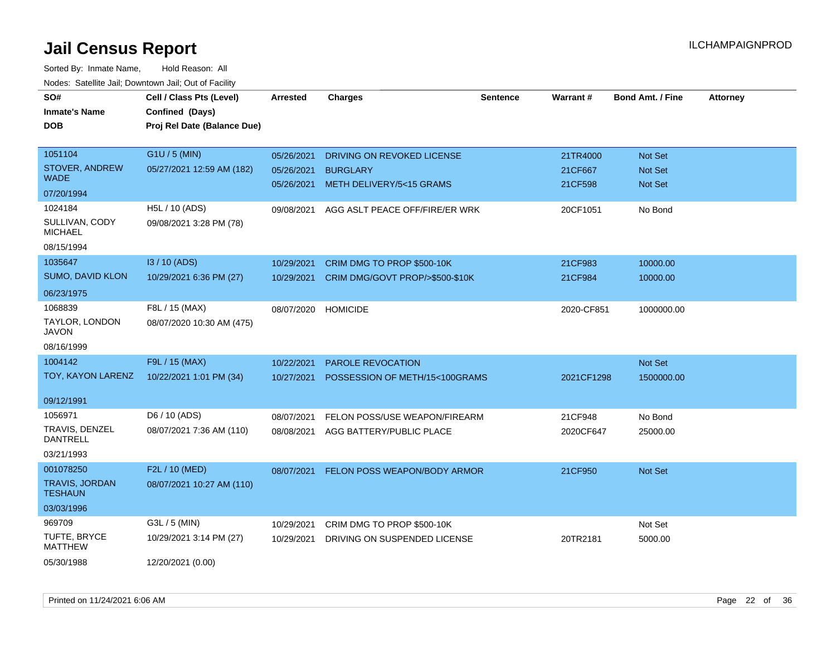| SO#<br><b>Inmate's Name</b>             | Cell / Class Pts (Level)<br>Confined (Days) | Arrested                 | <b>Charges</b>                              | <b>Sentence</b> | Warrant#           | <b>Bond Amt. / Fine</b> | <b>Attorney</b> |
|-----------------------------------------|---------------------------------------------|--------------------------|---------------------------------------------|-----------------|--------------------|-------------------------|-----------------|
| <b>DOB</b>                              | Proj Rel Date (Balance Due)                 |                          |                                             |                 |                    |                         |                 |
|                                         |                                             |                          |                                             |                 |                    |                         |                 |
| 1051104                                 | G1U / 5 (MIN)                               | 05/26/2021               | DRIVING ON REVOKED LICENSE                  |                 | 21TR4000           | Not Set                 |                 |
| STOVER, ANDREW<br><b>WADE</b>           | 05/27/2021 12:59 AM (182)                   | 05/26/2021<br>05/26/2021 | <b>BURGLARY</b><br>METH DELIVERY/5<15 GRAMS |                 | 21CF667<br>21CF598 | Not Set<br>Not Set      |                 |
| 07/20/1994                              |                                             |                          |                                             |                 |                    |                         |                 |
| 1024184                                 | H5L / 10 (ADS)                              | 09/08/2021               | AGG ASLT PEACE OFF/FIRE/ER WRK              |                 | 20CF1051           | No Bond                 |                 |
| SULLIVAN, CODY<br><b>MICHAEL</b>        | 09/08/2021 3:28 PM (78)                     |                          |                                             |                 |                    |                         |                 |
| 08/15/1994                              |                                             |                          |                                             |                 |                    |                         |                 |
| 1035647                                 | I3 / 10 (ADS)                               | 10/29/2021               | CRIM DMG TO PROP \$500-10K                  |                 | 21CF983            | 10000.00                |                 |
| SUMO, DAVID KLON                        | 10/29/2021 6:36 PM (27)                     | 10/29/2021               | CRIM DMG/GOVT PROP/>\$500-\$10K             |                 | 21CF984            | 10000.00                |                 |
| 06/23/1975                              |                                             |                          |                                             |                 |                    |                         |                 |
| 1068839                                 | F8L / 15 (MAX)                              | 08/07/2020               | <b>HOMICIDE</b>                             |                 | 2020-CF851         | 1000000.00              |                 |
| TAYLOR, LONDON<br>JAVON                 | 08/07/2020 10:30 AM (475)                   |                          |                                             |                 |                    |                         |                 |
| 08/16/1999                              |                                             |                          |                                             |                 |                    |                         |                 |
| 1004142                                 | F9L / 15 (MAX)                              | 10/22/2021               | PAROLE REVOCATION                           |                 |                    | Not Set                 |                 |
| TOY, KAYON LARENZ                       | 10/22/2021 1:01 PM (34)                     | 10/27/2021               | POSSESSION OF METH/15<100GRAMS              |                 | 2021CF1298         | 1500000.00              |                 |
| 09/12/1991                              |                                             |                          |                                             |                 |                    |                         |                 |
| 1056971                                 | D6 / 10 (ADS)                               | 08/07/2021               | FELON POSS/USE WEAPON/FIREARM               |                 | 21CF948            | No Bond                 |                 |
| TRAVIS, DENZEL<br><b>DANTRELL</b>       | 08/07/2021 7:36 AM (110)                    | 08/08/2021               | AGG BATTERY/PUBLIC PLACE                    |                 | 2020CF647          | 25000.00                |                 |
| 03/21/1993                              |                                             |                          |                                             |                 |                    |                         |                 |
| 001078250                               | F2L / 10 (MED)                              | 08/07/2021               | <b>FELON POSS WEAPON/BODY ARMOR</b>         |                 | 21CF950            | Not Set                 |                 |
| <b>TRAVIS, JORDAN</b><br><b>TESHAUN</b> | 08/07/2021 10:27 AM (110)                   |                          |                                             |                 |                    |                         |                 |
| 03/03/1996                              |                                             |                          |                                             |                 |                    |                         |                 |
| 969709                                  | G3L / 5 (MIN)                               | 10/29/2021               | CRIM DMG TO PROP \$500-10K                  |                 |                    | Not Set                 |                 |
| TUFTE, BRYCE<br><b>MATTHEW</b>          | 10/29/2021 3:14 PM (27)                     | 10/29/2021               | DRIVING ON SUSPENDED LICENSE                |                 | 20TR2181           | 5000.00                 |                 |
| 05/30/1988                              | 12/20/2021 (0.00)                           |                          |                                             |                 |                    |                         |                 |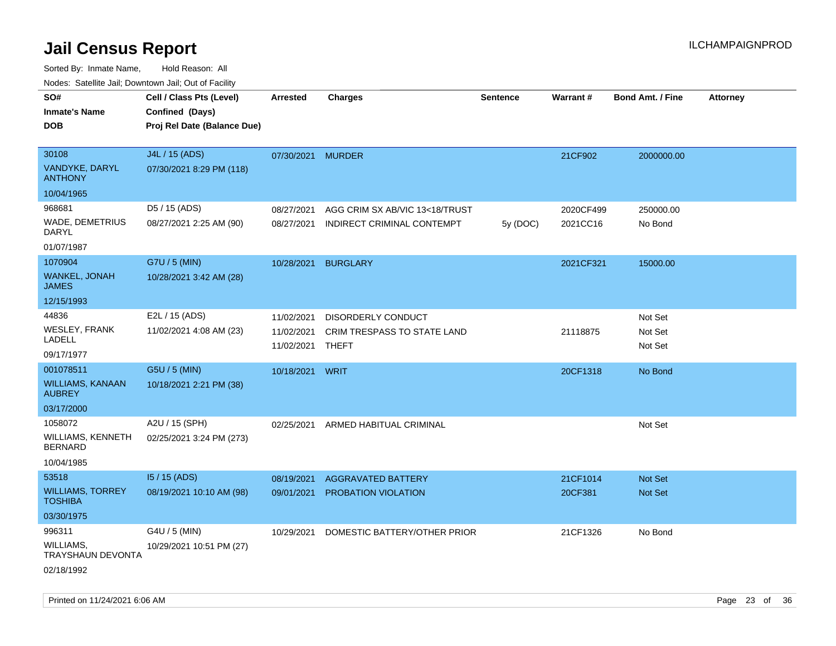Sorted By: Inmate Name, Hold Reason: All Nodes: Satellite Jail; Downtown Jail; Out of Facility

| ivodes. Satellite Jali, Downtown Jali, Out of Facility |                             |                   |                                    |                 |                 |                         |                 |
|--------------------------------------------------------|-----------------------------|-------------------|------------------------------------|-----------------|-----------------|-------------------------|-----------------|
| SO#                                                    | Cell / Class Pts (Level)    | Arrested          | <b>Charges</b>                     | <b>Sentence</b> | <b>Warrant#</b> | <b>Bond Amt. / Fine</b> | <b>Attorney</b> |
| <b>Inmate's Name</b>                                   | Confined (Days)             |                   |                                    |                 |                 |                         |                 |
| <b>DOB</b>                                             | Proj Rel Date (Balance Due) |                   |                                    |                 |                 |                         |                 |
|                                                        |                             |                   |                                    |                 |                 |                         |                 |
| 30108                                                  | J4L / 15 (ADS)              | 07/30/2021 MURDER |                                    |                 | 21CF902         | 2000000.00              |                 |
| VANDYKE, DARYL<br><b>ANTHONY</b>                       | 07/30/2021 8:29 PM (118)    |                   |                                    |                 |                 |                         |                 |
| 10/04/1965                                             |                             |                   |                                    |                 |                 |                         |                 |
| 968681                                                 | D5 / 15 (ADS)               | 08/27/2021        | AGG CRIM SX AB/VIC 13<18/TRUST     |                 | 2020CF499       | 250000.00               |                 |
| WADE, DEMETRIUS<br><b>DARYL</b>                        | 08/27/2021 2:25 AM (90)     | 08/27/2021        | INDIRECT CRIMINAL CONTEMPT         | 5y (DOC)        | 2021CC16        | No Bond                 |                 |
| 01/07/1987                                             |                             |                   |                                    |                 |                 |                         |                 |
| 1070904                                                | G7U / 5 (MIN)               | 10/28/2021        | <b>BURGLARY</b>                    |                 | 2021CF321       | 15000.00                |                 |
| <b>WANKEL, JONAH</b><br><b>JAMES</b>                   | 10/28/2021 3:42 AM (28)     |                   |                                    |                 |                 |                         |                 |
| 12/15/1993                                             |                             |                   |                                    |                 |                 |                         |                 |
| 44836                                                  | E2L / 15 (ADS)              | 11/02/2021        | <b>DISORDERLY CONDUCT</b>          |                 |                 | Not Set                 |                 |
| <b>WESLEY, FRANK</b>                                   | 11/02/2021 4:08 AM (23)     | 11/02/2021        | <b>CRIM TRESPASS TO STATE LAND</b> |                 | 21118875        | Not Set                 |                 |
| LADELL                                                 |                             | 11/02/2021        | <b>THEFT</b>                       |                 |                 | Not Set                 |                 |
| 09/17/1977                                             |                             |                   |                                    |                 |                 |                         |                 |
| 001078511                                              | G5U / 5 (MIN)               | 10/18/2021 WRIT   |                                    |                 | 20CF1318        | No Bond                 |                 |
| WILLIAMS, KANAAN<br><b>AUBREY</b>                      | 10/18/2021 2:21 PM (38)     |                   |                                    |                 |                 |                         |                 |
| 03/17/2000                                             |                             |                   |                                    |                 |                 |                         |                 |
| 1058072                                                | A2U / 15 (SPH)              | 02/25/2021        | ARMED HABITUAL CRIMINAL            |                 |                 | Not Set                 |                 |
| WILLIAMS, KENNETH<br><b>BERNARD</b>                    | 02/25/2021 3:24 PM (273)    |                   |                                    |                 |                 |                         |                 |
| 10/04/1985                                             |                             |                   |                                    |                 |                 |                         |                 |
| 53518                                                  | I5 / 15 (ADS)               | 08/19/2021        | <b>AGGRAVATED BATTERY</b>          |                 | 21CF1014        | <b>Not Set</b>          |                 |
| <b>WILLIAMS, TORREY</b><br><b>TOSHIBA</b>              | 08/19/2021 10:10 AM (98)    | 09/01/2021        | PROBATION VIOLATION                |                 | 20CF381         | Not Set                 |                 |
| 03/30/1975                                             |                             |                   |                                    |                 |                 |                         |                 |
| 996311                                                 | G4U / 5 (MIN)               | 10/29/2021        | DOMESTIC BATTERY/OTHER PRIOR       |                 | 21CF1326        | No Bond                 |                 |
| WILLIAMS,<br>TRAYSHAUN DEVONTA                         | 10/29/2021 10:51 PM (27)    |                   |                                    |                 |                 |                         |                 |
| 02/18/1992                                             |                             |                   |                                    |                 |                 |                         |                 |

Printed on 11/24/2021 6:06 AM Page 23 of 36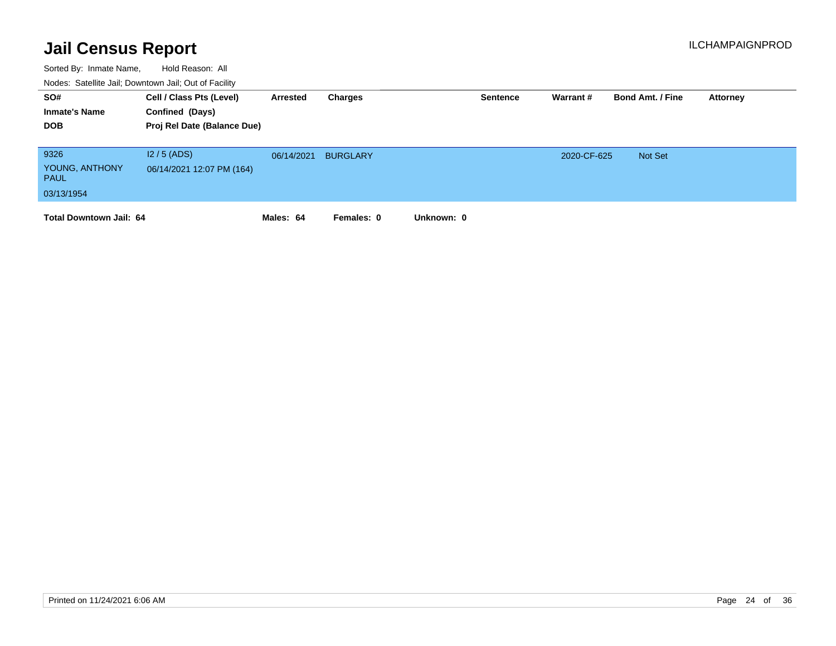| SO#<br><b>Inmate's Name</b><br><b>DOB</b>           | Cell / Class Pts (Level)<br>Confined (Days)<br>Proj Rel Date (Balance Due) | Arrested   | Charges         |            | <b>Sentence</b> | Warrant #   | <b>Bond Amt. / Fine</b> | Attorney |
|-----------------------------------------------------|----------------------------------------------------------------------------|------------|-----------------|------------|-----------------|-------------|-------------------------|----------|
| 9326<br>YOUNG, ANTHONY<br><b>PAUL</b><br>03/13/1954 | $12/5$ (ADS)<br>06/14/2021 12:07 PM (164)                                  | 06/14/2021 | <b>BURGLARY</b> |            |                 | 2020-CF-625 | <b>Not Set</b>          |          |
| <b>Total Downtown Jail: 64</b>                      |                                                                            | Males: 64  | Females: 0      | Unknown: 0 |                 |             |                         |          |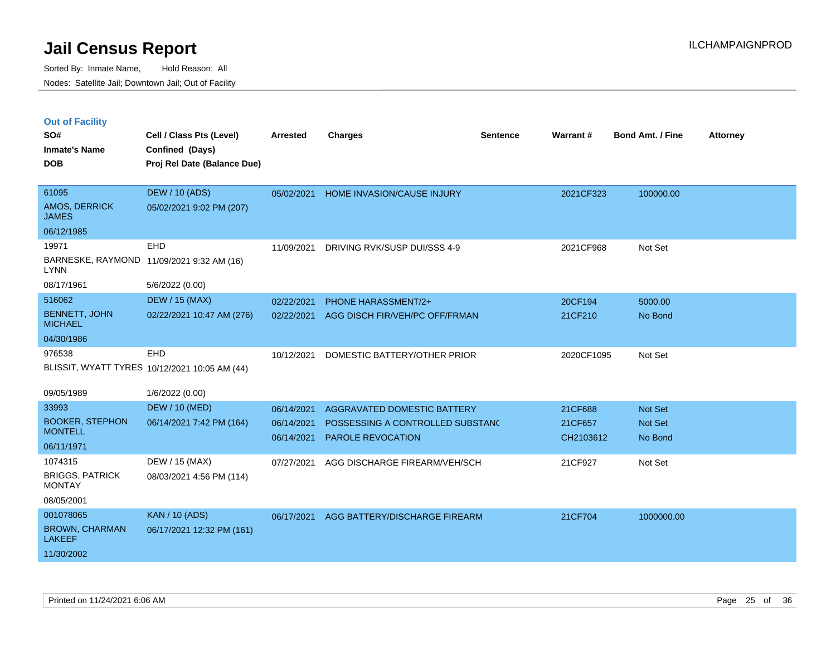|  | <b>Out of Facility</b> |  |
|--|------------------------|--|

| SO#<br><b>Inmate's Name</b><br><b>DOB</b> | Cell / Class Pts (Level)<br>Confined (Days)<br>Proj Rel Date (Balance Due) | <b>Arrested</b> | <b>Charges</b>                   | <b>Sentence</b> | Warrant#   | <b>Bond Amt. / Fine</b> | <b>Attorney</b> |
|-------------------------------------------|----------------------------------------------------------------------------|-----------------|----------------------------------|-----------------|------------|-------------------------|-----------------|
| 61095<br>AMOS, DERRICK<br><b>JAMES</b>    | <b>DEW / 10 (ADS)</b><br>05/02/2021 9:02 PM (207)                          | 05/02/2021      | HOME INVASION/CAUSE INJURY       |                 | 2021CF323  | 100000.00               |                 |
| 06/12/1985                                |                                                                            |                 |                                  |                 |            |                         |                 |
| 19971                                     | <b>EHD</b>                                                                 | 11/09/2021      | DRIVING RVK/SUSP DUI/SSS 4-9     |                 | 2021CF968  | Not Set                 |                 |
| <b>LYNN</b>                               | BARNESKE, RAYMOND 11/09/2021 9:32 AM (16)                                  |                 |                                  |                 |            |                         |                 |
| 08/17/1961                                | 5/6/2022 (0.00)                                                            |                 |                                  |                 |            |                         |                 |
| 516062                                    | <b>DEW / 15 (MAX)</b>                                                      | 02/22/2021      | PHONE HARASSMENT/2+              |                 | 20CF194    | 5000.00                 |                 |
| <b>BENNETT, JOHN</b><br><b>MICHAEL</b>    | 02/22/2021 10:47 AM (276)                                                  | 02/22/2021      | AGG DISCH FIR/VEH/PC OFF/FRMAN   |                 | 21CF210    | No Bond                 |                 |
| 04/30/1986                                |                                                                            |                 |                                  |                 |            |                         |                 |
| 976538                                    | EHD                                                                        | 10/12/2021      | DOMESTIC BATTERY/OTHER PRIOR     |                 | 2020CF1095 | Not Set                 |                 |
|                                           | BLISSIT, WYATT TYRES 10/12/2021 10:05 AM (44)                              |                 |                                  |                 |            |                         |                 |
| 09/05/1989                                | 1/6/2022 (0.00)                                                            |                 |                                  |                 |            |                         |                 |
| 33993                                     | <b>DEW / 10 (MED)</b>                                                      | 06/14/2021      | AGGRAVATED DOMESTIC BATTERY      |                 | 21CF688    | Not Set                 |                 |
| <b>BOOKER, STEPHON</b>                    | 06/14/2021 7:42 PM (164)                                                   | 06/14/2021      | POSSESSING A CONTROLLED SUBSTANC |                 | 21CF657    | Not Set                 |                 |
| <b>MONTELL</b>                            |                                                                            | 06/14/2021      | PAROLE REVOCATION                |                 | CH2103612  | No Bond                 |                 |
| 06/11/1971                                |                                                                            |                 |                                  |                 |            |                         |                 |
| 1074315                                   | DEW / 15 (MAX)                                                             | 07/27/2021      | AGG DISCHARGE FIREARM/VEH/SCH    |                 | 21CF927    | Not Set                 |                 |
| <b>BRIGGS, PATRICK</b><br><b>MONTAY</b>   | 08/03/2021 4:56 PM (114)                                                   |                 |                                  |                 |            |                         |                 |
| 08/05/2001                                |                                                                            |                 |                                  |                 |            |                         |                 |
| 001078065                                 | <b>KAN / 10 (ADS)</b>                                                      | 06/17/2021      | AGG BATTERY/DISCHARGE FIREARM    |                 | 21CF704    | 1000000.00              |                 |
| <b>BROWN, CHARMAN</b><br><b>LAKEEF</b>    | 06/17/2021 12:32 PM (161)                                                  |                 |                                  |                 |            |                         |                 |
| 11/30/2002                                |                                                                            |                 |                                  |                 |            |                         |                 |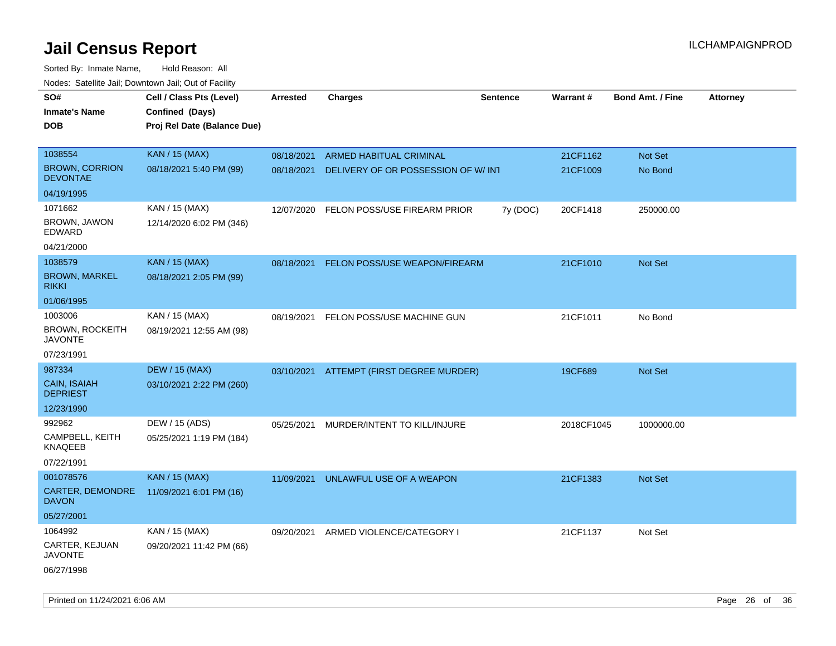| Todoo. Catolino can, Bowritown can, Oat or I domt<br>SO#<br><b>Inmate's Name</b><br><b>DOB</b> | Cell / Class Pts (Level)<br>Confined (Days)<br>Proj Rel Date (Balance Due) | Arrested   | <b>Charges</b>                           | <b>Sentence</b> | Warrant#   | <b>Bond Amt. / Fine</b> | <b>Attorney</b> |
|------------------------------------------------------------------------------------------------|----------------------------------------------------------------------------|------------|------------------------------------------|-----------------|------------|-------------------------|-----------------|
| 1038554                                                                                        | <b>KAN / 15 (MAX)</b>                                                      | 08/18/2021 | ARMED HABITUAL CRIMINAL                  |                 | 21CF1162   | Not Set                 |                 |
| <b>BROWN, CORRION</b><br><b>DEVONTAE</b>                                                       | 08/18/2021 5:40 PM (99)                                                    | 08/18/2021 | DELIVERY OF OR POSSESSION OF W/ INT      |                 | 21CF1009   | No Bond                 |                 |
| 04/19/1995                                                                                     |                                                                            |            |                                          |                 |            |                         |                 |
| 1071662                                                                                        | KAN / 15 (MAX)                                                             | 12/07/2020 | FELON POSS/USE FIREARM PRIOR             | 7y (DOC)        | 20CF1418   | 250000.00               |                 |
| BROWN, JAWON<br>EDWARD                                                                         | 12/14/2020 6:02 PM (346)                                                   |            |                                          |                 |            |                         |                 |
| 04/21/2000                                                                                     |                                                                            |            |                                          |                 |            |                         |                 |
| 1038579                                                                                        | <b>KAN / 15 (MAX)</b>                                                      | 08/18/2021 | FELON POSS/USE WEAPON/FIREARM            |                 | 21CF1010   | <b>Not Set</b>          |                 |
| <b>BROWN, MARKEL</b><br><b>RIKKI</b>                                                           | 08/18/2021 2:05 PM (99)                                                    |            |                                          |                 |            |                         |                 |
| 01/06/1995                                                                                     |                                                                            |            |                                          |                 |            |                         |                 |
| 1003006                                                                                        | KAN / 15 (MAX)                                                             | 08/19/2021 | FELON POSS/USE MACHINE GUN               |                 | 21CF1011   | No Bond                 |                 |
| <b>BROWN, ROCKEITH</b><br><b>JAVONTE</b>                                                       | 08/19/2021 12:55 AM (98)                                                   |            |                                          |                 |            |                         |                 |
| 07/23/1991                                                                                     |                                                                            |            |                                          |                 |            |                         |                 |
| 987334                                                                                         | <b>DEW / 15 (MAX)</b>                                                      |            | 03/10/2021 ATTEMPT (FIRST DEGREE MURDER) |                 | 19CF689    | Not Set                 |                 |
| <b>CAIN, ISAIAH</b><br><b>DEPRIEST</b>                                                         | 03/10/2021 2:22 PM (260)                                                   |            |                                          |                 |            |                         |                 |
| 12/23/1990                                                                                     |                                                                            |            |                                          |                 |            |                         |                 |
| 992962                                                                                         | DEW / 15 (ADS)                                                             | 05/25/2021 | MURDER/INTENT TO KILL/INJURE             |                 | 2018CF1045 | 1000000.00              |                 |
| CAMPBELL, KEITH<br><b>KNAQEEB</b>                                                              | 05/25/2021 1:19 PM (184)                                                   |            |                                          |                 |            |                         |                 |
| 07/22/1991                                                                                     |                                                                            |            |                                          |                 |            |                         |                 |
| 001078576                                                                                      | <b>KAN / 15 (MAX)</b>                                                      | 11/09/2021 | UNLAWFUL USE OF A WEAPON                 |                 | 21CF1383   | Not Set                 |                 |
| CARTER, DEMONDRE<br><b>DAVON</b>                                                               | 11/09/2021 6:01 PM (16)                                                    |            |                                          |                 |            |                         |                 |
| 05/27/2001                                                                                     |                                                                            |            |                                          |                 |            |                         |                 |
| 1064992                                                                                        | KAN / 15 (MAX)                                                             | 09/20/2021 | ARMED VIOLENCE/CATEGORY I                |                 | 21CF1137   | Not Set                 |                 |
| CARTER, KEJUAN<br><b>JAVONTE</b>                                                               | 09/20/2021 11:42 PM (66)                                                   |            |                                          |                 |            |                         |                 |
| 06/27/1998                                                                                     |                                                                            |            |                                          |                 |            |                         |                 |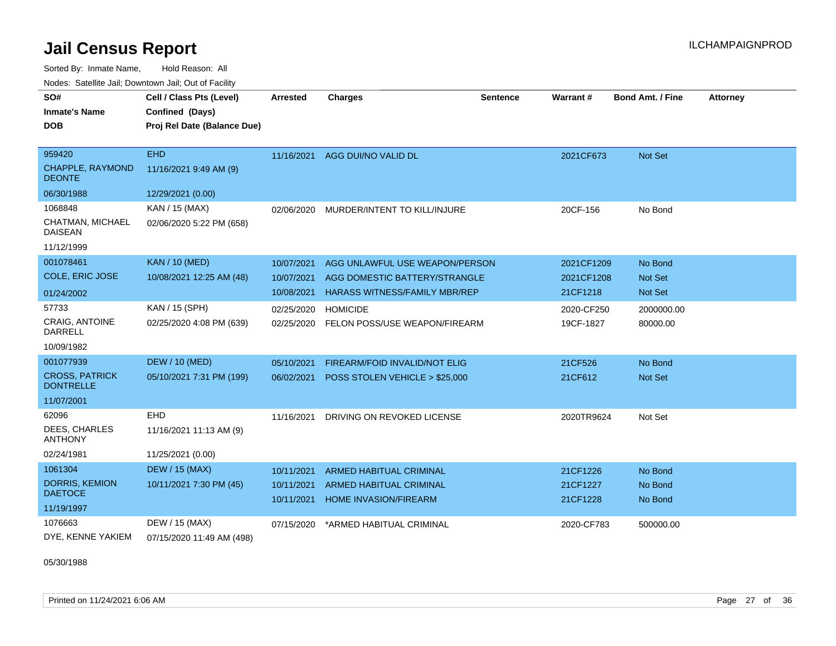Sorted By: Inmate Name, Hold Reason: All Nodes: Satellite Jail; Downtown Jail; Out of Facility

| SO#                                       | Cell / Class Pts (Level)    | Arrested   | <b>Charges</b>                           | <b>Sentence</b> | Warrant #  | <b>Bond Amt. / Fine</b> | <b>Attorney</b> |
|-------------------------------------------|-----------------------------|------------|------------------------------------------|-----------------|------------|-------------------------|-----------------|
| <b>Inmate's Name</b>                      | Confined (Days)             |            |                                          |                 |            |                         |                 |
| <b>DOB</b>                                | Proj Rel Date (Balance Due) |            |                                          |                 |            |                         |                 |
|                                           |                             |            |                                          |                 |            |                         |                 |
| 959420                                    | <b>EHD</b>                  |            | 11/16/2021 AGG DUI/NO VALID DL           |                 | 2021CF673  | Not Set                 |                 |
| <b>CHAPPLE, RAYMOND</b><br><b>DEONTE</b>  | 11/16/2021 9:49 AM (9)      |            |                                          |                 |            |                         |                 |
| 06/30/1988                                | 12/29/2021 (0.00)           |            |                                          |                 |            |                         |                 |
| 1068848                                   | KAN / 15 (MAX)              | 02/06/2020 | MURDER/INTENT TO KILL/INJURE             |                 | 20CF-156   | No Bond                 |                 |
| CHATMAN, MICHAEL<br><b>DAISEAN</b>        | 02/06/2020 5:22 PM (658)    |            |                                          |                 |            |                         |                 |
| 11/12/1999                                |                             |            |                                          |                 |            |                         |                 |
| 001078461                                 | <b>KAN / 10 (MED)</b>       | 10/07/2021 | AGG UNLAWFUL USE WEAPON/PERSON           |                 | 2021CF1209 | No Bond                 |                 |
| <b>COLE, ERIC JOSE</b>                    | 10/08/2021 12:25 AM (48)    | 10/07/2021 | AGG DOMESTIC BATTERY/STRANGLE            |                 | 2021CF1208 | Not Set                 |                 |
| 01/24/2002                                |                             | 10/08/2021 | HARASS WITNESS/FAMILY MBR/REP            |                 | 21CF1218   | Not Set                 |                 |
| 57733                                     | KAN / 15 (SPH)              | 02/25/2020 | <b>HOMICIDE</b>                          |                 | 2020-CF250 | 2000000.00              |                 |
| <b>CRAIG, ANTOINE</b><br><b>DARRELL</b>   | 02/25/2020 4:08 PM (639)    |            | 02/25/2020 FELON POSS/USE WEAPON/FIREARM |                 | 19CF-1827  | 80000.00                |                 |
| 10/09/1982                                |                             |            |                                          |                 |            |                         |                 |
| 001077939                                 | <b>DEW / 10 (MED)</b>       | 05/10/2021 | FIREARM/FOID INVALID/NOT ELIG            |                 | 21CF526    | No Bond                 |                 |
| <b>CROSS, PATRICK</b><br><b>DONTRELLE</b> | 05/10/2021 7:31 PM (199)    | 06/02/2021 | POSS STOLEN VEHICLE > \$25,000           |                 | 21CF612    | Not Set                 |                 |
| 11/07/2001                                |                             |            |                                          |                 |            |                         |                 |
| 62096                                     | EHD                         | 11/16/2021 | DRIVING ON REVOKED LICENSE               |                 | 2020TR9624 | Not Set                 |                 |
| <b>DEES. CHARLES</b><br><b>ANTHONY</b>    | 11/16/2021 11:13 AM (9)     |            |                                          |                 |            |                         |                 |
| 02/24/1981                                | 11/25/2021 (0.00)           |            |                                          |                 |            |                         |                 |
| 1061304                                   | <b>DEW / 15 (MAX)</b>       | 10/11/2021 | <b>ARMED HABITUAL CRIMINAL</b>           |                 | 21CF1226   | No Bond                 |                 |
| <b>DORRIS, KEMION</b>                     | 10/11/2021 7:30 PM (45)     | 10/11/2021 | <b>ARMED HABITUAL CRIMINAL</b>           |                 | 21CF1227   | No Bond                 |                 |
| <b>DAETOCE</b>                            |                             | 10/11/2021 | <b>HOME INVASION/FIREARM</b>             |                 | 21CF1228   | No Bond                 |                 |
| 11/19/1997                                |                             |            |                                          |                 |            |                         |                 |
| 1076663                                   | DEW / 15 (MAX)              | 07/15/2020 | *ARMED HABITUAL CRIMINAL                 |                 | 2020-CF783 | 500000.00               |                 |
| DYE, KENNE YAKIEM                         | 07/15/2020 11:49 AM (498)   |            |                                          |                 |            |                         |                 |

05/30/1988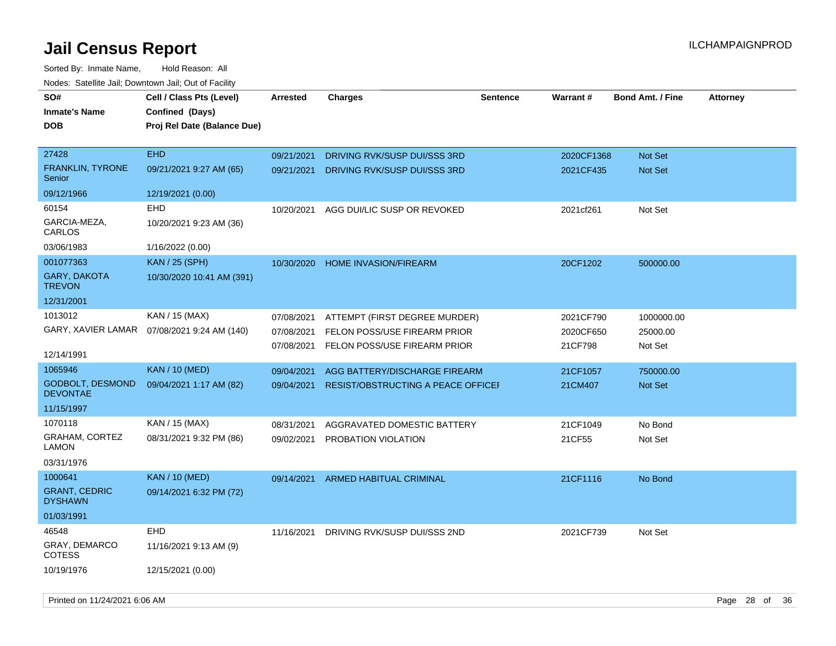| SO#                                    | Cell / Class Pts (Level)    | <b>Arrested</b> | <b>Charges</b>                            | <b>Sentence</b> | <b>Warrant#</b> | <b>Bond Amt. / Fine</b> | <b>Attorney</b> |
|----------------------------------------|-----------------------------|-----------------|-------------------------------------------|-----------------|-----------------|-------------------------|-----------------|
| <b>Inmate's Name</b>                   | Confined (Days)             |                 |                                           |                 |                 |                         |                 |
| <b>DOB</b>                             | Proj Rel Date (Balance Due) |                 |                                           |                 |                 |                         |                 |
| 27428                                  | <b>EHD</b>                  | 09/21/2021      | DRIVING RVK/SUSP DUI/SSS 3RD              |                 | 2020CF1368      | <b>Not Set</b>          |                 |
| <b>FRANKLIN, TYRONE</b><br>Senior      | 09/21/2021 9:27 AM (65)     | 09/21/2021      | DRIVING RVK/SUSP DUI/SSS 3RD              |                 | 2021CF435       | Not Set                 |                 |
| 09/12/1966                             | 12/19/2021 (0.00)           |                 |                                           |                 |                 |                         |                 |
| 60154                                  | <b>EHD</b>                  | 10/20/2021      | AGG DUI/LIC SUSP OR REVOKED               |                 | 2021cf261       | Not Set                 |                 |
| GARCIA-MEZA,<br>CARLOS                 | 10/20/2021 9:23 AM (36)     |                 |                                           |                 |                 |                         |                 |
| 03/06/1983                             | 1/16/2022 (0.00)            |                 |                                           |                 |                 |                         |                 |
| 001077363                              | <b>KAN / 25 (SPH)</b>       | 10/30/2020      | <b>HOME INVASION/FIREARM</b>              |                 | 20CF1202        | 500000.00               |                 |
| <b>GARY, DAKOTA</b><br><b>TREVON</b>   | 10/30/2020 10:41 AM (391)   |                 |                                           |                 |                 |                         |                 |
| 12/31/2001                             |                             |                 |                                           |                 |                 |                         |                 |
| 1013012                                | KAN / 15 (MAX)              | 07/08/2021      | ATTEMPT (FIRST DEGREE MURDER)             |                 | 2021CF790       | 1000000.00              |                 |
| GARY, XAVIER LAMAR                     | 07/08/2021 9:24 AM (140)    | 07/08/2021      | FELON POSS/USE FIREARM PRIOR              |                 | 2020CF650       | 25000.00                |                 |
| 12/14/1991                             |                             | 07/08/2021      | FELON POSS/USE FIREARM PRIOR              |                 | 21CF798         | Not Set                 |                 |
| 1065946                                | <b>KAN / 10 (MED)</b>       | 09/04/2021      | AGG BATTERY/DISCHARGE FIREARM             |                 | 21CF1057        | 750000.00               |                 |
| GODBOLT, DESMOND<br><b>DEVONTAE</b>    | 09/04/2021 1:17 AM (82)     | 09/04/2021      | <b>RESIST/OBSTRUCTING A PEACE OFFICEF</b> |                 | 21CM407         | Not Set                 |                 |
| 11/15/1997                             |                             |                 |                                           |                 |                 |                         |                 |
| 1070118                                | KAN / 15 (MAX)              | 08/31/2021      | AGGRAVATED DOMESTIC BATTERY               |                 | 21CF1049        | No Bond                 |                 |
| GRAHAM, CORTEZ<br><b>LAMON</b>         | 08/31/2021 9:32 PM (86)     | 09/02/2021      | PROBATION VIOLATION                       |                 | 21CF55          | Not Set                 |                 |
| 03/31/1976                             |                             |                 |                                           |                 |                 |                         |                 |
| 1000641                                | <b>KAN / 10 (MED)</b>       | 09/14/2021      | ARMED HABITUAL CRIMINAL                   |                 | 21CF1116        | No Bond                 |                 |
| <b>GRANT, CEDRIC</b><br><b>DYSHAWN</b> | 09/14/2021 6:32 PM (72)     |                 |                                           |                 |                 |                         |                 |
| 01/03/1991                             |                             |                 |                                           |                 |                 |                         |                 |
| 46548                                  | <b>EHD</b>                  | 11/16/2021      | DRIVING RVK/SUSP DUI/SSS 2ND              |                 | 2021CF739       | Not Set                 |                 |
| GRAY, DEMARCO<br><b>COTESS</b>         | 11/16/2021 9:13 AM (9)      |                 |                                           |                 |                 |                         |                 |
| 10/19/1976                             | 12/15/2021 (0.00)           |                 |                                           |                 |                 |                         |                 |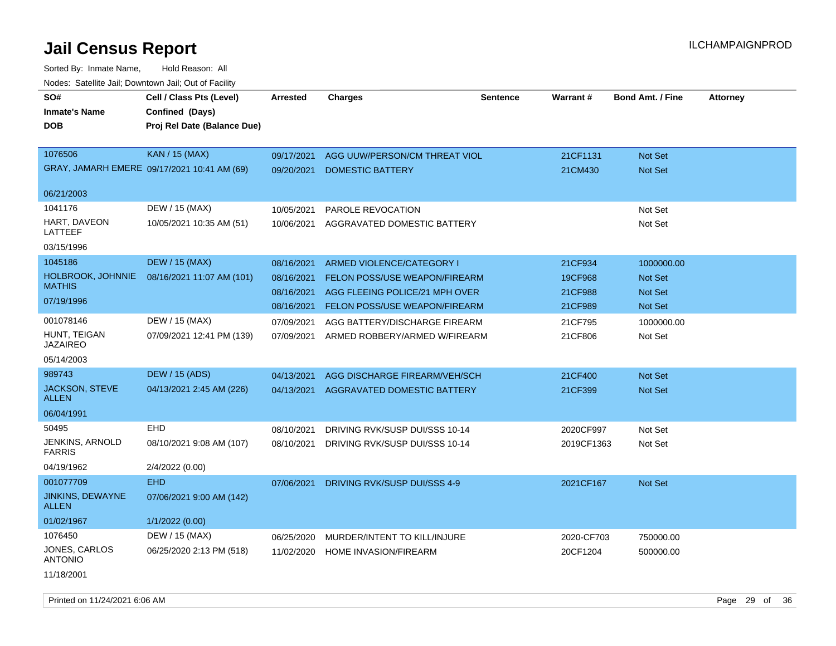| roaco. Calcinio can, Downlown can, Out of Fabilit |                                             |            |                                      |                 |            |                         |                 |
|---------------------------------------------------|---------------------------------------------|------------|--------------------------------------|-----------------|------------|-------------------------|-----------------|
| SO#                                               | Cell / Class Pts (Level)                    | Arrested   | <b>Charges</b>                       | <b>Sentence</b> | Warrant#   | <b>Bond Amt. / Fine</b> | <b>Attorney</b> |
| <b>Inmate's Name</b>                              | Confined (Days)                             |            |                                      |                 |            |                         |                 |
| <b>DOB</b>                                        | Proj Rel Date (Balance Due)                 |            |                                      |                 |            |                         |                 |
|                                                   |                                             |            |                                      |                 |            |                         |                 |
| 1076506                                           | <b>KAN / 15 (MAX)</b>                       | 09/17/2021 | AGG UUW/PERSON/CM THREAT VIOL        |                 | 21CF1131   | <b>Not Set</b>          |                 |
|                                                   | GRAY, JAMARH EMERE 09/17/2021 10:41 AM (69) | 09/20/2021 | <b>DOMESTIC BATTERY</b>              |                 | 21CM430    | Not Set                 |                 |
|                                                   |                                             |            |                                      |                 |            |                         |                 |
| 06/21/2003                                        |                                             |            |                                      |                 |            |                         |                 |
| 1041176                                           | DEW / 15 (MAX)                              | 10/05/2021 | PAROLE REVOCATION                    |                 |            | Not Set                 |                 |
| HART, DAVEON<br>LATTEEF                           | 10/05/2021 10:35 AM (51)                    | 10/06/2021 | AGGRAVATED DOMESTIC BATTERY          |                 |            | Not Set                 |                 |
| 03/15/1996                                        |                                             |            |                                      |                 |            |                         |                 |
| 1045186                                           | <b>DEW / 15 (MAX)</b>                       | 08/16/2021 | ARMED VIOLENCE/CATEGORY I            |                 | 21CF934    | 1000000.00              |                 |
| HOLBROOK, JOHNNIE                                 | 08/16/2021 11:07 AM (101)                   | 08/16/2021 | <b>FELON POSS/USE WEAPON/FIREARM</b> |                 | 19CF968    | <b>Not Set</b>          |                 |
| <b>MATHIS</b>                                     |                                             | 08/16/2021 | AGG FLEEING POLICE/21 MPH OVER       |                 | 21CF988    | <b>Not Set</b>          |                 |
| 07/19/1996                                        |                                             | 08/16/2021 | <b>FELON POSS/USE WEAPON/FIREARM</b> |                 | 21CF989    | Not Set                 |                 |
| 001078146                                         | DEW / 15 (MAX)                              | 07/09/2021 | AGG BATTERY/DISCHARGE FIREARM        |                 | 21CF795    | 1000000.00              |                 |
| HUNT, TEIGAN                                      | 07/09/2021 12:41 PM (139)                   | 07/09/2021 | ARMED ROBBERY/ARMED W/FIREARM        |                 | 21CF806    | Not Set                 |                 |
| <b>JAZAIREO</b>                                   |                                             |            |                                      |                 |            |                         |                 |
| 05/14/2003                                        |                                             |            |                                      |                 |            |                         |                 |
| 989743                                            | <b>DEW / 15 (ADS)</b>                       | 04/13/2021 | AGG DISCHARGE FIREARM/VEH/SCH        |                 | 21CF400    | <b>Not Set</b>          |                 |
| <b>JACKSON, STEVE</b>                             | 04/13/2021 2:45 AM (226)                    | 04/13/2021 | AGGRAVATED DOMESTIC BATTERY          |                 | 21CF399    | <b>Not Set</b>          |                 |
| <b>ALLEN</b>                                      |                                             |            |                                      |                 |            |                         |                 |
| 06/04/1991                                        |                                             |            |                                      |                 |            |                         |                 |
| 50495                                             | EHD                                         | 08/10/2021 | DRIVING RVK/SUSP DUI/SSS 10-14       |                 | 2020CF997  | Not Set                 |                 |
| JENKINS, ARNOLD<br><b>FARRIS</b>                  | 08/10/2021 9:08 AM (107)                    | 08/10/2021 | DRIVING RVK/SUSP DUI/SSS 10-14       |                 | 2019CF1363 | Not Set                 |                 |
| 04/19/1962                                        | 2/4/2022 (0.00)                             |            |                                      |                 |            |                         |                 |
| 001077709                                         | <b>EHD</b>                                  | 07/06/2021 | DRIVING RVK/SUSP DUI/SSS 4-9         |                 | 2021CF167  | <b>Not Set</b>          |                 |
| JINKINS, DEWAYNE<br><b>ALLEN</b>                  | 07/06/2021 9:00 AM (142)                    |            |                                      |                 |            |                         |                 |
| 01/02/1967                                        | 1/1/2022 (0.00)                             |            |                                      |                 |            |                         |                 |
| 1076450                                           | DEW / 15 (MAX)                              | 06/25/2020 | MURDER/INTENT TO KILL/INJURE         |                 | 2020-CF703 | 750000.00               |                 |
| JONES, CARLOS<br><b>ANTONIO</b>                   | 06/25/2020 2:13 PM (518)                    | 11/02/2020 | <b>HOME INVASION/FIREARM</b>         |                 | 20CF1204   | 500000.00               |                 |
| 11/18/2001                                        |                                             |            |                                      |                 |            |                         |                 |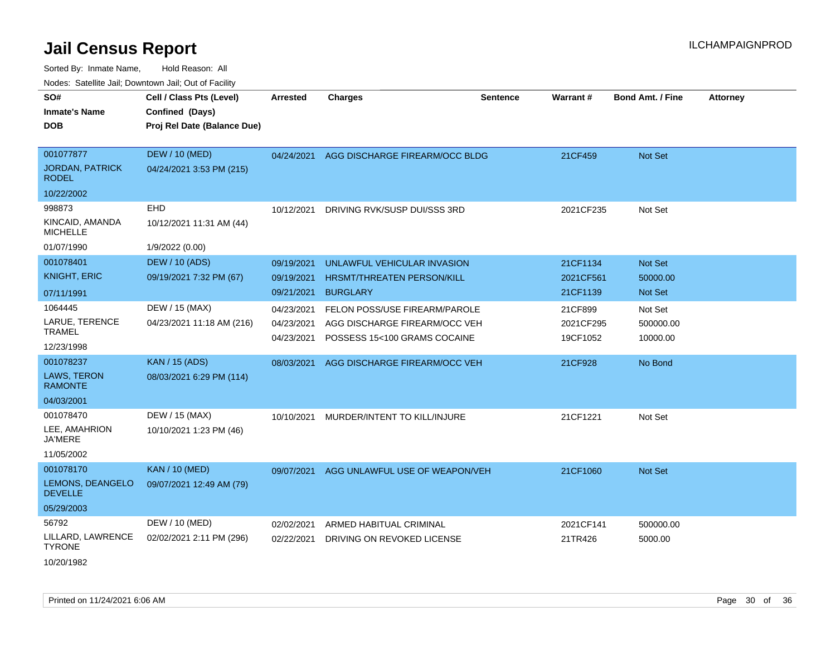| rougs. Calcing Jan, Downtown Jan, Out of Facility |                                                                            |                 |                                   |                 |                 |                         |                 |
|---------------------------------------------------|----------------------------------------------------------------------------|-----------------|-----------------------------------|-----------------|-----------------|-------------------------|-----------------|
| SO#<br><b>Inmate's Name</b><br><b>DOB</b>         | Cell / Class Pts (Level)<br>Confined (Days)<br>Proj Rel Date (Balance Due) | <b>Arrested</b> | <b>Charges</b>                    | <b>Sentence</b> | <b>Warrant#</b> | <b>Bond Amt. / Fine</b> | <b>Attorney</b> |
|                                                   |                                                                            |                 |                                   |                 |                 |                         |                 |
| 001077877                                         | <b>DEW / 10 (MED)</b>                                                      | 04/24/2021      | AGG DISCHARGE FIREARM/OCC BLDG    |                 | 21CF459         | Not Set                 |                 |
| <b>JORDAN, PATRICK</b><br><b>RODEL</b>            | 04/24/2021 3:53 PM (215)                                                   |                 |                                   |                 |                 |                         |                 |
| 10/22/2002                                        |                                                                            |                 |                                   |                 |                 |                         |                 |
| 998873                                            | EHD                                                                        | 10/12/2021      | DRIVING RVK/SUSP DUI/SSS 3RD      |                 | 2021CF235       | Not Set                 |                 |
| KINCAID, AMANDA<br><b>MICHELLE</b>                | 10/12/2021 11:31 AM (44)                                                   |                 |                                   |                 |                 |                         |                 |
| 01/07/1990                                        | 1/9/2022 (0.00)                                                            |                 |                                   |                 |                 |                         |                 |
| 001078401                                         | <b>DEW / 10 (ADS)</b>                                                      | 09/19/2021      | UNLAWFUL VEHICULAR INVASION       |                 | 21CF1134        | Not Set                 |                 |
| <b>KNIGHT, ERIC</b>                               | 09/19/2021 7:32 PM (67)                                                    | 09/19/2021      | <b>HRSMT/THREATEN PERSON/KILL</b> |                 | 2021CF561       | 50000.00                |                 |
| 07/11/1991                                        |                                                                            | 09/21/2021      | <b>BURGLARY</b>                   |                 | 21CF1139        | Not Set                 |                 |
| 1064445                                           | DEW / 15 (MAX)                                                             | 04/23/2021      | FELON POSS/USE FIREARM/PAROLE     |                 | 21CF899         | Not Set                 |                 |
| LARUE, TERENCE                                    | 04/23/2021 11:18 AM (216)                                                  | 04/23/2021      | AGG DISCHARGE FIREARM/OCC VEH     |                 | 2021CF295       | 500000.00               |                 |
| TRAMEL                                            |                                                                            | 04/23/2021      | POSSESS 15<100 GRAMS COCAINE      |                 | 19CF1052        | 10000.00                |                 |
| 12/23/1998                                        |                                                                            |                 |                                   |                 |                 |                         |                 |
| 001078237                                         | <b>KAN / 15 (ADS)</b>                                                      | 08/03/2021      | AGG DISCHARGE FIREARM/OCC VEH     |                 | 21CF928         | No Bond                 |                 |
| LAWS, TERON<br><b>RAMONTE</b>                     | 08/03/2021 6:29 PM (114)                                                   |                 |                                   |                 |                 |                         |                 |
| 04/03/2001                                        |                                                                            |                 |                                   |                 |                 |                         |                 |
| 001078470                                         | DEW / 15 (MAX)                                                             | 10/10/2021      | MURDER/INTENT TO KILL/INJURE      |                 | 21CF1221        | Not Set                 |                 |
| LEE, AMAHRION<br><b>JA'MERE</b>                   | 10/10/2021 1:23 PM (46)                                                    |                 |                                   |                 |                 |                         |                 |
| 11/05/2002                                        |                                                                            |                 |                                   |                 |                 |                         |                 |
| 001078170                                         | <b>KAN / 10 (MED)</b>                                                      | 09/07/2021      | AGG UNLAWFUL USE OF WEAPON/VEH    |                 | 21CF1060        | Not Set                 |                 |
| LEMONS, DEANGELO<br><b>DEVELLE</b>                | 09/07/2021 12:49 AM (79)                                                   |                 |                                   |                 |                 |                         |                 |
| 05/29/2003                                        |                                                                            |                 |                                   |                 |                 |                         |                 |
| 56792                                             | DEW / 10 (MED)                                                             | 02/02/2021      | ARMED HABITUAL CRIMINAL           |                 | 2021CF141       | 500000.00               |                 |
| LILLARD, LAWRENCE<br><b>TYRONE</b>                | 02/02/2021 2:11 PM (296)                                                   | 02/22/2021      | DRIVING ON REVOKED LICENSE        |                 | 21TR426         | 5000.00                 |                 |
| 10/20/1982                                        |                                                                            |                 |                                   |                 |                 |                         |                 |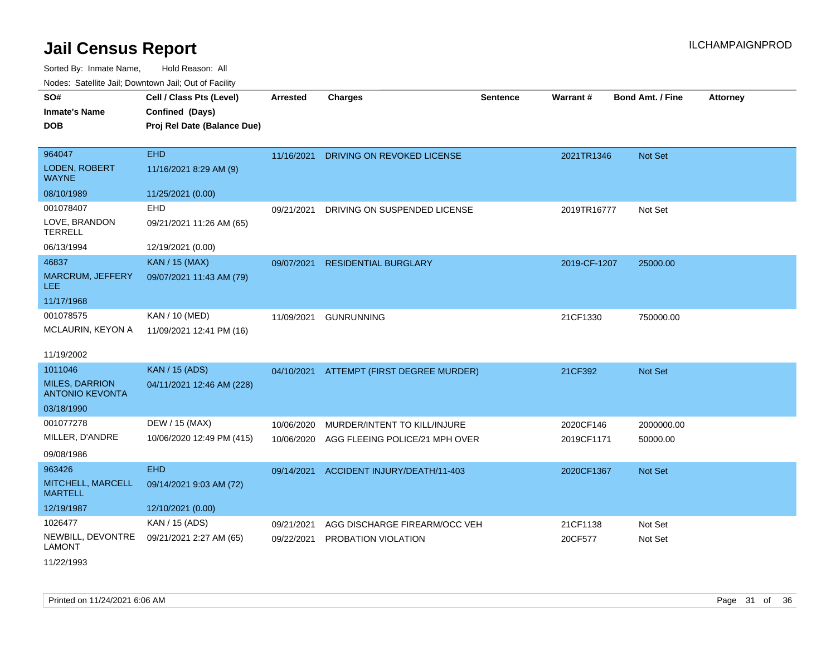Sorted By: Inmate Name, Hold Reason: All Nodes: Satellite Jail; Downtown Jail; Out of Facility

| SO#<br><b>Inmate's Name</b><br><b>DOB</b>       | Cell / Class Pts (Level)<br>Confined (Days)<br>Proj Rel Date (Balance Due) | <b>Arrested</b> | <b>Charges</b>                           | <b>Sentence</b> | Warrant#     | <b>Bond Amt. / Fine</b> | <b>Attorney</b> |
|-------------------------------------------------|----------------------------------------------------------------------------|-----------------|------------------------------------------|-----------------|--------------|-------------------------|-----------------|
| 964047                                          | <b>EHD</b>                                                                 | 11/16/2021      | DRIVING ON REVOKED LICENSE               |                 | 2021TR1346   | Not Set                 |                 |
| LODEN, ROBERT<br><b>WAYNE</b>                   | 11/16/2021 8:29 AM (9)                                                     |                 |                                          |                 |              |                         |                 |
| 08/10/1989                                      | 11/25/2021 (0.00)                                                          |                 |                                          |                 |              |                         |                 |
| 001078407                                       | EHD                                                                        | 09/21/2021      | DRIVING ON SUSPENDED LICENSE             |                 | 2019TR16777  | Not Set                 |                 |
| LOVE, BRANDON<br><b>TERRELL</b>                 | 09/21/2021 11:26 AM (65)                                                   |                 |                                          |                 |              |                         |                 |
| 06/13/1994                                      | 12/19/2021 (0.00)                                                          |                 |                                          |                 |              |                         |                 |
| 46837                                           | <b>KAN / 15 (MAX)</b>                                                      | 09/07/2021      | <b>RESIDENTIAL BURGLARY</b>              |                 | 2019-CF-1207 | 25000.00                |                 |
| MARCRUM, JEFFERY<br>LEE                         | 09/07/2021 11:43 AM (79)                                                   |                 |                                          |                 |              |                         |                 |
| 11/17/1968                                      |                                                                            |                 |                                          |                 |              |                         |                 |
| 001078575                                       | KAN / 10 (MED)                                                             | 11/09/2021      | <b>GUNRUNNING</b>                        |                 | 21CF1330     | 750000.00               |                 |
| MCLAURIN, KEYON A                               | 11/09/2021 12:41 PM (16)                                                   |                 |                                          |                 |              |                         |                 |
| 11/19/2002                                      |                                                                            |                 |                                          |                 |              |                         |                 |
| 1011046                                         | <b>KAN</b> / 15 (ADS)                                                      |                 | 04/10/2021 ATTEMPT (FIRST DEGREE MURDER) |                 | 21CF392      | <b>Not Set</b>          |                 |
| <b>MILES, DARRION</b><br><b>ANTONIO KEVONTA</b> | 04/11/2021 12:46 AM (228)                                                  |                 |                                          |                 |              |                         |                 |
| 03/18/1990                                      |                                                                            |                 |                                          |                 |              |                         |                 |
| 001077278                                       | DEW / 15 (MAX)                                                             | 10/06/2020      | MURDER/INTENT TO KILL/INJURE             |                 | 2020CF146    | 2000000.00              |                 |
| MILLER, D'ANDRE                                 | 10/06/2020 12:49 PM (415)                                                  | 10/06/2020      | AGG FLEEING POLICE/21 MPH OVER           |                 | 2019CF1171   | 50000.00                |                 |
| 09/08/1986                                      |                                                                            |                 |                                          |                 |              |                         |                 |
| 963426                                          | <b>EHD</b>                                                                 | 09/14/2021      | ACCIDENT INJURY/DEATH/11-403             |                 | 2020CF1367   | <b>Not Set</b>          |                 |
| MITCHELL, MARCELL<br><b>MARTELL</b>             | 09/14/2021 9:03 AM (72)                                                    |                 |                                          |                 |              |                         |                 |
| 12/19/1987                                      | 12/10/2021 (0.00)                                                          |                 |                                          |                 |              |                         |                 |
| 1026477                                         | KAN / 15 (ADS)                                                             | 09/21/2021      | AGG DISCHARGE FIREARM/OCC VEH            |                 | 21CF1138     | Not Set                 |                 |
| NEWBILL, DEVONTRE<br><b>LAMONT</b>              | 09/21/2021 2:27 AM (65)                                                    | 09/22/2021      | PROBATION VIOLATION                      |                 | 20CF577      | Not Set                 |                 |

11/22/1993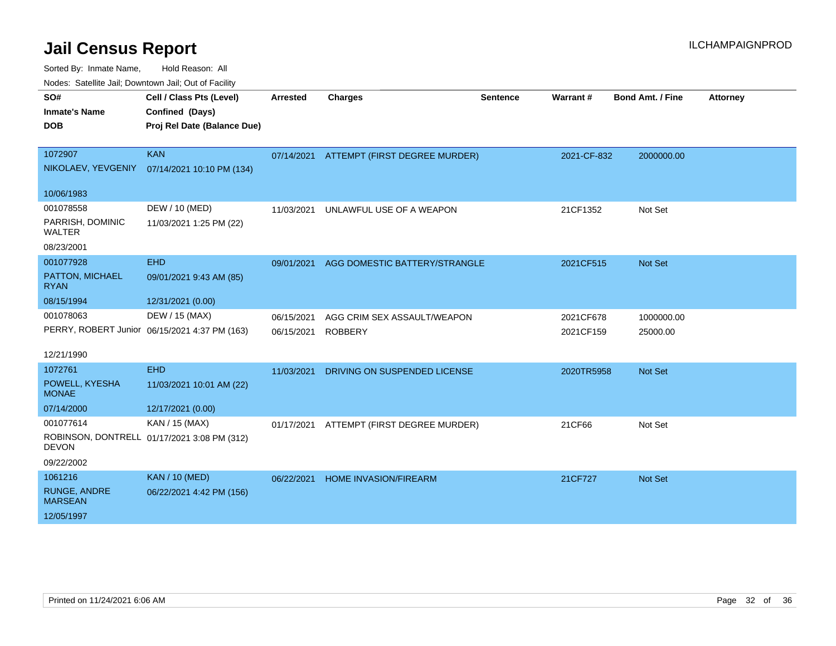Sorted By: Inmate Name, Hold Reason: All

Nodes: Satellite Jail; Downtown Jail; Out of Facility

| SO#<br><b>Inmate's Name</b><br><b>DOB</b>      | Cell / Class Pts (Level)<br>Confined (Days)<br>Proj Rel Date (Balance Due) | <b>Arrested</b> | <b>Charges</b>                           | <b>Sentence</b> | <b>Warrant#</b> | <b>Bond Amt. / Fine</b> | <b>Attorney</b> |
|------------------------------------------------|----------------------------------------------------------------------------|-----------------|------------------------------------------|-----------------|-----------------|-------------------------|-----------------|
| 1072907<br>NIKOLAEV, YEVGENIY                  | <b>KAN</b><br>07/14/2021 10:10 PM (134)                                    |                 | 07/14/2021 ATTEMPT (FIRST DEGREE MURDER) |                 | 2021-CF-832     | 2000000.00              |                 |
| 10/06/1983                                     |                                                                            |                 |                                          |                 |                 |                         |                 |
| 001078558<br>PARRISH, DOMINIC<br><b>WALTER</b> | DEW / 10 (MED)<br>11/03/2021 1:25 PM (22)                                  | 11/03/2021      | UNLAWFUL USE OF A WEAPON                 |                 | 21CF1352        | Not Set                 |                 |
| 08/23/2001                                     |                                                                            |                 |                                          |                 |                 |                         |                 |
| 001077928                                      | <b>EHD</b>                                                                 | 09/01/2021      | AGG DOMESTIC BATTERY/STRANGLE            |                 | 2021CF515       | Not Set                 |                 |
| PATTON, MICHAEL<br><b>RYAN</b>                 | 09/01/2021 9:43 AM (85)                                                    |                 |                                          |                 |                 |                         |                 |
| 08/15/1994                                     | 12/31/2021 (0.00)                                                          |                 |                                          |                 |                 |                         |                 |
| 001078063                                      | DEW / 15 (MAX)                                                             | 06/15/2021      | AGG CRIM SEX ASSAULT/WEAPON              |                 | 2021CF678       | 1000000.00              |                 |
|                                                | PERRY, ROBERT Junior 06/15/2021 4:37 PM (163)                              | 06/15/2021      | ROBBERY                                  |                 | 2021CF159       | 25000.00                |                 |
| 12/21/1990                                     |                                                                            |                 |                                          |                 |                 |                         |                 |
| 1072761                                        | <b>EHD</b>                                                                 | 11/03/2021      | DRIVING ON SUSPENDED LICENSE             |                 | 2020TR5958      | Not Set                 |                 |
| POWELL, KYESHA<br><b>MONAE</b>                 | 11/03/2021 10:01 AM (22)                                                   |                 |                                          |                 |                 |                         |                 |
| 07/14/2000                                     | 12/17/2021 (0.00)                                                          |                 |                                          |                 |                 |                         |                 |
| 001077614                                      | KAN / 15 (MAX)                                                             | 01/17/2021      | ATTEMPT (FIRST DEGREE MURDER)            |                 | 21CF66          | Not Set                 |                 |
| <b>DEVON</b>                                   | ROBINSON, DONTRELL 01/17/2021 3:08 PM (312)                                |                 |                                          |                 |                 |                         |                 |
| 09/22/2002                                     |                                                                            |                 |                                          |                 |                 |                         |                 |
| 1061216                                        | <b>KAN / 10 (MED)</b>                                                      | 06/22/2021      | <b>HOME INVASION/FIREARM</b>             |                 | 21CF727         | Not Set                 |                 |
| <b>RUNGE, ANDRE</b><br><b>MARSEAN</b>          | 06/22/2021 4:42 PM (156)                                                   |                 |                                          |                 |                 |                         |                 |
| 12/05/1997                                     |                                                                            |                 |                                          |                 |                 |                         |                 |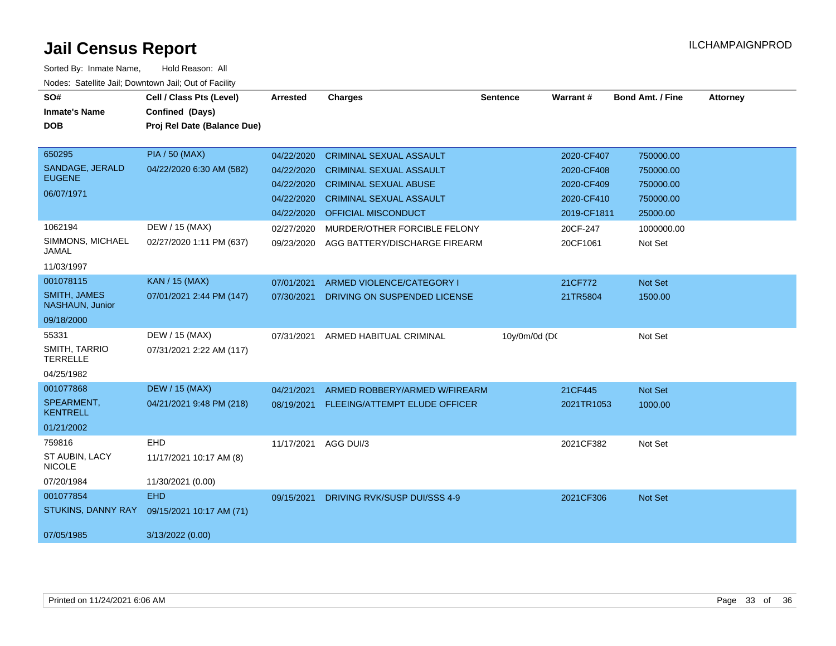| SO#<br><b>Inmate's Name</b><br><b>DOB</b> | Cell / Class Pts (Level)<br>Confined (Days)<br>Proj Rel Date (Balance Due) | <b>Arrested</b> | <b>Charges</b>                           | <b>Sentence</b> | Warrant#    | <b>Bond Amt. / Fine</b> | <b>Attorney</b> |
|-------------------------------------------|----------------------------------------------------------------------------|-----------------|------------------------------------------|-----------------|-------------|-------------------------|-----------------|
|                                           |                                                                            |                 |                                          |                 |             |                         |                 |
| 650295                                    | <b>PIA / 50 (MAX)</b>                                                      | 04/22/2020      | <b>CRIMINAL SEXUAL ASSAULT</b>           |                 | 2020-CF407  | 750000.00               |                 |
| SANDAGE, JERALD<br><b>EUGENE</b>          | 04/22/2020 6:30 AM (582)                                                   | 04/22/2020      | <b>CRIMINAL SEXUAL ASSAULT</b>           |                 | 2020-CF408  | 750000.00               |                 |
|                                           |                                                                            | 04/22/2020      | <b>CRIMINAL SEXUAL ABUSE</b>             |                 | 2020-CF409  | 750000.00               |                 |
| 06/07/1971                                |                                                                            | 04/22/2020      | <b>CRIMINAL SEXUAL ASSAULT</b>           |                 | 2020-CF410  | 750000.00               |                 |
|                                           |                                                                            | 04/22/2020      | <b>OFFICIAL MISCONDUCT</b>               |                 | 2019-CF1811 | 25000.00                |                 |
| 1062194                                   | DEW / 15 (MAX)                                                             | 02/27/2020      | MURDER/OTHER FORCIBLE FELONY             |                 | 20CF-247    | 1000000.00              |                 |
| SIMMONS, MICHAEL<br>JAMAL                 | 02/27/2020 1:11 PM (637)                                                   | 09/23/2020      | AGG BATTERY/DISCHARGE FIREARM            |                 | 20CF1061    | Not Set                 |                 |
| 11/03/1997                                |                                                                            |                 |                                          |                 |             |                         |                 |
| 001078115                                 | <b>KAN / 15 (MAX)</b>                                                      | 07/01/2021      | ARMED VIOLENCE/CATEGORY I                |                 | 21CF772     | Not Set                 |                 |
| <b>SMITH, JAMES</b><br>NASHAUN, Junior    | 07/01/2021 2:44 PM (147)                                                   | 07/30/2021      | DRIVING ON SUSPENDED LICENSE             |                 | 21TR5804    | 1500.00                 |                 |
| 09/18/2000                                |                                                                            |                 |                                          |                 |             |                         |                 |
| 55331                                     | DEW / 15 (MAX)                                                             | 07/31/2021      | ARMED HABITUAL CRIMINAL                  | 10y/0m/0d (DC   |             | Not Set                 |                 |
| SMITH, TARRIO<br><b>TERRELLE</b>          | 07/31/2021 2:22 AM (117)                                                   |                 |                                          |                 |             |                         |                 |
| 04/25/1982                                |                                                                            |                 |                                          |                 |             |                         |                 |
| 001077868                                 | <b>DEW / 15 (MAX)</b>                                                      | 04/21/2021      | ARMED ROBBERY/ARMED W/FIREARM            |                 | 21CF445     | <b>Not Set</b>          |                 |
| SPEARMENT,<br><b>KENTRELL</b>             | 04/21/2021 9:48 PM (218)                                                   |                 | 08/19/2021 FLEEING/ATTEMPT ELUDE OFFICER |                 | 2021TR1053  | 1000.00                 |                 |
| 01/21/2002                                |                                                                            |                 |                                          |                 |             |                         |                 |
| 759816                                    | EHD                                                                        | 11/17/2021      | AGG DUI/3                                |                 | 2021CF382   | Not Set                 |                 |
| ST AUBIN, LACY<br><b>NICOLE</b>           | 11/17/2021 10:17 AM (8)                                                    |                 |                                          |                 |             |                         |                 |
| 07/20/1984                                | 11/30/2021 (0.00)                                                          |                 |                                          |                 |             |                         |                 |
| 001077854                                 | <b>EHD</b>                                                                 | 09/15/2021      | DRIVING RVK/SUSP DUI/SSS 4-9             |                 | 2021CF306   | <b>Not Set</b>          |                 |
| STUKINS, DANNY RAY                        | 09/15/2021 10:17 AM (71)                                                   |                 |                                          |                 |             |                         |                 |
| 07/05/1985                                | 3/13/2022 (0.00)                                                           |                 |                                          |                 |             |                         |                 |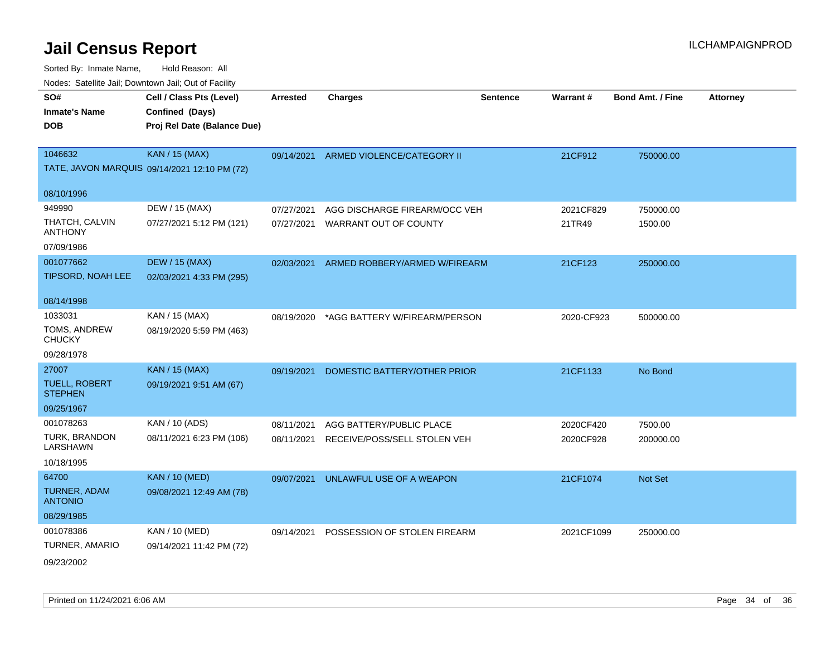| roaco. Catolino dall, Downtown dall, Out of Fability |                                              |                 |                                          |          |            |                         |                 |
|------------------------------------------------------|----------------------------------------------|-----------------|------------------------------------------|----------|------------|-------------------------|-----------------|
| SO#                                                  | Cell / Class Pts (Level)                     | <b>Arrested</b> | <b>Charges</b>                           | Sentence | Warrant#   | <b>Bond Amt. / Fine</b> | <b>Attorney</b> |
| <b>Inmate's Name</b>                                 | Confined (Days)                              |                 |                                          |          |            |                         |                 |
| <b>DOB</b>                                           | Proj Rel Date (Balance Due)                  |                 |                                          |          |            |                         |                 |
|                                                      |                                              |                 |                                          |          |            |                         |                 |
| 1046632                                              | <b>KAN / 15 (MAX)</b>                        |                 | 09/14/2021 ARMED VIOLENCE/CATEGORY II    |          | 21CF912    | 750000.00               |                 |
|                                                      | TATE, JAVON MARQUIS 09/14/2021 12:10 PM (72) |                 |                                          |          |            |                         |                 |
| 08/10/1996                                           |                                              |                 |                                          |          |            |                         |                 |
| 949990                                               | DEW / 15 (MAX)                               | 07/27/2021      | AGG DISCHARGE FIREARM/OCC VEH            |          | 2021CF829  | 750000.00               |                 |
| THATCH, CALVIN<br><b>ANTHONY</b>                     | 07/27/2021 5:12 PM (121)                     | 07/27/2021      | WARRANT OUT OF COUNTY                    |          | 21TR49     | 1500.00                 |                 |
| 07/09/1986                                           |                                              |                 |                                          |          |            |                         |                 |
| 001077662                                            | <b>DEW / 15 (MAX)</b>                        |                 | 02/03/2021 ARMED ROBBERY/ARMED W/FIREARM |          | 21CF123    | 250000.00               |                 |
| TIPSORD, NOAH LEE                                    | 02/03/2021 4:33 PM (295)                     |                 |                                          |          |            |                         |                 |
| 08/14/1998                                           |                                              |                 |                                          |          |            |                         |                 |
| 1033031                                              | KAN / 15 (MAX)                               | 08/19/2020      | *AGG BATTERY W/FIREARM/PERSON            |          | 2020-CF923 | 500000.00               |                 |
| TOMS, ANDREW<br><b>CHUCKY</b>                        | 08/19/2020 5:59 PM (463)                     |                 |                                          |          |            |                         |                 |
| 09/28/1978                                           |                                              |                 |                                          |          |            |                         |                 |
| 27007                                                | <b>KAN</b> / 15 (MAX)                        | 09/19/2021      | DOMESTIC BATTERY/OTHER PRIOR             |          | 21CF1133   | No Bond                 |                 |
| <b>TUELL, ROBERT</b><br><b>STEPHEN</b>               | 09/19/2021 9:51 AM (67)                      |                 |                                          |          |            |                         |                 |
| 09/25/1967                                           |                                              |                 |                                          |          |            |                         |                 |
| 001078263                                            | KAN / 10 (ADS)                               | 08/11/2021      | AGG BATTERY/PUBLIC PLACE                 |          | 2020CF420  | 7500.00                 |                 |
| TURK, BRANDON<br><b>LARSHAWN</b>                     | 08/11/2021 6:23 PM (106)                     | 08/11/2021      | RECEIVE/POSS/SELL STOLEN VEH             |          | 2020CF928  | 200000.00               |                 |
| 10/18/1995                                           |                                              |                 |                                          |          |            |                         |                 |
| 64700                                                | <b>KAN / 10 (MED)</b>                        | 09/07/2021      | UNLAWFUL USE OF A WEAPON                 |          | 21CF1074   | Not Set                 |                 |
| TURNER, ADAM<br><b>ANTONIO</b>                       | 09/08/2021 12:49 AM (78)                     |                 |                                          |          |            |                         |                 |
| 08/29/1985                                           |                                              |                 |                                          |          |            |                         |                 |
| 001078386                                            | KAN / 10 (MED)                               | 09/14/2021      | POSSESSION OF STOLEN FIREARM             |          | 2021CF1099 | 250000.00               |                 |
| TURNER, AMARIO                                       | 09/14/2021 11:42 PM (72)                     |                 |                                          |          |            |                         |                 |
| 09/23/2002                                           |                                              |                 |                                          |          |            |                         |                 |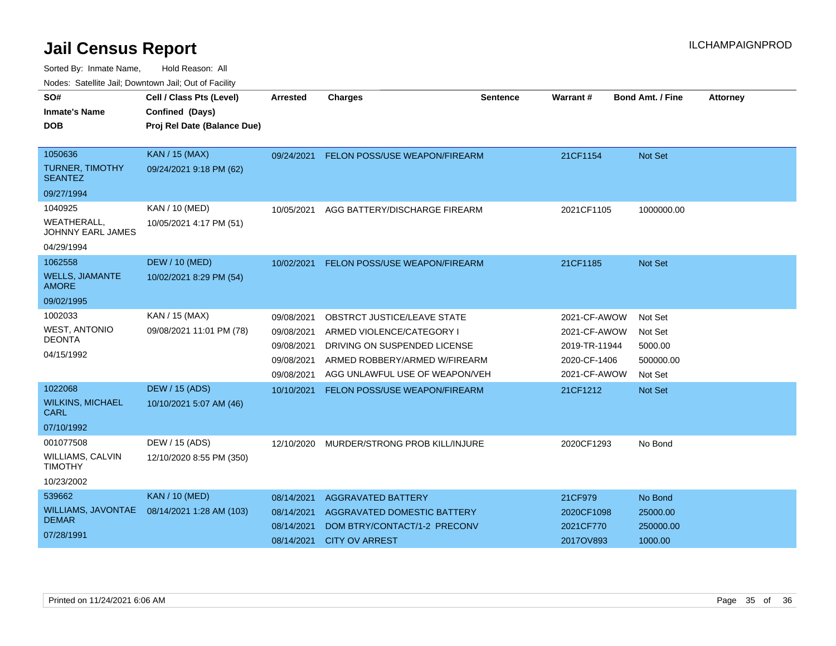| nouco. Catolino call, Downtown call, Out of Fabilit |                             |                 |                                      |                 |                 |                         |                 |
|-----------------------------------------------------|-----------------------------|-----------------|--------------------------------------|-----------------|-----------------|-------------------------|-----------------|
| SO#                                                 | Cell / Class Pts (Level)    | <b>Arrested</b> | <b>Charges</b>                       | <b>Sentence</b> | <b>Warrant#</b> | <b>Bond Amt. / Fine</b> | <b>Attorney</b> |
| <b>Inmate's Name</b>                                | Confined (Days)             |                 |                                      |                 |                 |                         |                 |
| <b>DOB</b>                                          | Proj Rel Date (Balance Due) |                 |                                      |                 |                 |                         |                 |
|                                                     |                             |                 |                                      |                 |                 |                         |                 |
| 1050636                                             | <b>KAN / 15 (MAX)</b>       | 09/24/2021      | <b>FELON POSS/USE WEAPON/FIREARM</b> |                 | 21CF1154        | <b>Not Set</b>          |                 |
| TURNER, TIMOTHY<br><b>SEANTEZ</b>                   | 09/24/2021 9:18 PM (62)     |                 |                                      |                 |                 |                         |                 |
| 09/27/1994                                          |                             |                 |                                      |                 |                 |                         |                 |
| 1040925                                             | KAN / 10 (MED)              | 10/05/2021      | AGG BATTERY/DISCHARGE FIREARM        |                 | 2021CF1105      | 1000000.00              |                 |
| WEATHERALL,<br><b>JOHNNY EARL JAMES</b>             | 10/05/2021 4:17 PM (51)     |                 |                                      |                 |                 |                         |                 |
| 04/29/1994                                          |                             |                 |                                      |                 |                 |                         |                 |
| 1062558                                             | <b>DEW / 10 (MED)</b>       | 10/02/2021      | FELON POSS/USE WEAPON/FIREARM        |                 | 21CF1185        | <b>Not Set</b>          |                 |
| <b>WELLS, JIAMANTE</b><br><b>AMORE</b>              | 10/02/2021 8:29 PM (54)     |                 |                                      |                 |                 |                         |                 |
| 09/02/1995                                          |                             |                 |                                      |                 |                 |                         |                 |
| 1002033                                             | KAN / 15 (MAX)              | 09/08/2021      | <b>OBSTRCT JUSTICE/LEAVE STATE</b>   |                 | 2021-CF-AWOW    | Not Set                 |                 |
| <b>WEST, ANTONIO</b>                                | 09/08/2021 11:01 PM (78)    | 09/08/2021      | ARMED VIOLENCE/CATEGORY I            |                 | 2021-CF-AWOW    | Not Set                 |                 |
| <b>DEONTA</b>                                       |                             | 09/08/2021      | DRIVING ON SUSPENDED LICENSE         |                 | 2019-TR-11944   | 5000.00                 |                 |
| 04/15/1992                                          |                             | 09/08/2021      | ARMED ROBBERY/ARMED W/FIREARM        |                 | 2020-CF-1406    | 500000.00               |                 |
|                                                     |                             | 09/08/2021      | AGG UNLAWFUL USE OF WEAPON/VEH       |                 | 2021-CF-AWOW    | Not Set                 |                 |
| 1022068                                             | <b>DEW / 15 (ADS)</b>       | 10/10/2021      | <b>FELON POSS/USE WEAPON/FIREARM</b> |                 | 21CF1212        | <b>Not Set</b>          |                 |
| <b>WILKINS, MICHAEL</b><br>CARL                     | 10/10/2021 5:07 AM (46)     |                 |                                      |                 |                 |                         |                 |
| 07/10/1992                                          |                             |                 |                                      |                 |                 |                         |                 |
| 001077508                                           | DEW / 15 (ADS)              | 12/10/2020      | MURDER/STRONG PROB KILL/INJURE       |                 | 2020CF1293      | No Bond                 |                 |
| <b>WILLIAMS, CALVIN</b><br><b>TIMOTHY</b>           | 12/10/2020 8:55 PM (350)    |                 |                                      |                 |                 |                         |                 |
| 10/23/2002                                          |                             |                 |                                      |                 |                 |                         |                 |
| 539662                                              | <b>KAN / 10 (MED)</b>       | 08/14/2021      | AGGRAVATED BATTERY                   |                 | 21CF979         | No Bond                 |                 |
| <b>WILLIAMS, JAVONTAE</b>                           | 08/14/2021 1:28 AM (103)    | 08/14/2021      | AGGRAVATED DOMESTIC BATTERY          |                 | 2020CF1098      | 25000.00                |                 |
| <b>DEMAR</b>                                        |                             | 08/14/2021      | DOM BTRY/CONTACT/1-2 PRECONV         |                 | 2021CF770       | 250000.00               |                 |
| 07/28/1991                                          |                             | 08/14/2021      | <b>CITY OV ARREST</b>                |                 | 2017OV893       | 1000.00                 |                 |